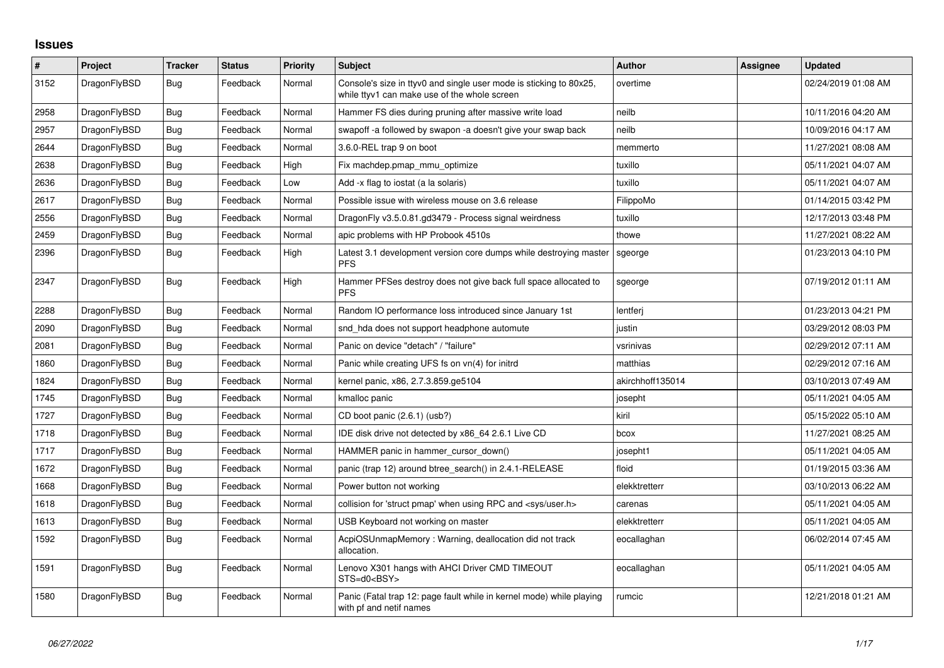## **Issues**

| $\#$ | Project      | <b>Tracker</b> | <b>Status</b> | <b>Priority</b> | <b>Subject</b>                                                                                                     | Author           | Assignee | <b>Updated</b>      |
|------|--------------|----------------|---------------|-----------------|--------------------------------------------------------------------------------------------------------------------|------------------|----------|---------------------|
| 3152 | DragonFlyBSD | <b>Bug</b>     | Feedback      | Normal          | Console's size in ttyv0 and single user mode is sticking to 80x25,<br>while ttyv1 can make use of the whole screen | overtime         |          | 02/24/2019 01:08 AM |
| 2958 | DragonFlyBSD | <b>Bug</b>     | Feedback      | Normal          | Hammer FS dies during pruning after massive write load                                                             | neilb            |          | 10/11/2016 04:20 AM |
| 2957 | DragonFlyBSD | <b>Bug</b>     | Feedback      | Normal          | swapoff -a followed by swapon -a doesn't give your swap back                                                       | neilb            |          | 10/09/2016 04:17 AM |
| 2644 | DragonFlyBSD | Bug            | Feedback      | Normal          | 3.6.0-REL trap 9 on boot                                                                                           | memmerto         |          | 11/27/2021 08:08 AM |
| 2638 | DragonFlyBSD | <b>Bug</b>     | Feedback      | High            | Fix machdep.pmap mmu optimize                                                                                      | tuxillo          |          | 05/11/2021 04:07 AM |
| 2636 | DragonFlyBSD | Bug            | Feedback      | Low             | Add -x flag to iostat (a la solaris)                                                                               | tuxillo          |          | 05/11/2021 04:07 AM |
| 2617 | DragonFlyBSD | <b>Bug</b>     | Feedback      | Normal          | Possible issue with wireless mouse on 3.6 release                                                                  | FilippoMo        |          | 01/14/2015 03:42 PM |
| 2556 | DragonFlyBSD | <b>Bug</b>     | Feedback      | Normal          | DragonFly v3.5.0.81.gd3479 - Process signal weirdness                                                              | tuxillo          |          | 12/17/2013 03:48 PM |
| 2459 | DragonFlyBSD | <b>Bug</b>     | Feedback      | Normal          | apic problems with HP Probook 4510s                                                                                | thowe            |          | 11/27/2021 08:22 AM |
| 2396 | DragonFlyBSD | Bug            | Feedback      | High            | Latest 3.1 development version core dumps while destroying master<br><b>PFS</b>                                    | sgeorge          |          | 01/23/2013 04:10 PM |
| 2347 | DragonFlyBSD | Bug            | Feedback      | High            | Hammer PFSes destroy does not give back full space allocated to<br><b>PFS</b>                                      | sgeorge          |          | 07/19/2012 01:11 AM |
| 2288 | DragonFlyBSD | <b>Bug</b>     | Feedback      | Normal          | Random IO performance loss introduced since January 1st                                                            | lentferi         |          | 01/23/2013 04:21 PM |
| 2090 | DragonFlyBSD | Bug            | Feedback      | Normal          | snd hda does not support headphone automute                                                                        | justin           |          | 03/29/2012 08:03 PM |
| 2081 | DragonFlyBSD | <b>Bug</b>     | Feedback      | Normal          | Panic on device "detach" / "failure"                                                                               | vsrinivas        |          | 02/29/2012 07:11 AM |
| 1860 | DragonFlyBSD | Bug            | Feedback      | Normal          | Panic while creating UFS fs on vn(4) for initrd                                                                    | matthias         |          | 02/29/2012 07:16 AM |
| 1824 | DragonFlyBSD | Bug            | Feedback      | Normal          | kernel panic, x86, 2.7.3.859.ge5104                                                                                | akirchhoff135014 |          | 03/10/2013 07:49 AM |
| 1745 | DragonFlyBSD | <b>Bug</b>     | Feedback      | Normal          | kmalloc panic                                                                                                      | josepht          |          | 05/11/2021 04:05 AM |
| 1727 | DragonFlyBSD | Bug            | Feedback      | Normal          | CD boot panic (2.6.1) (usb?)                                                                                       | kiril            |          | 05/15/2022 05:10 AM |
| 1718 | DragonFlyBSD | Bug            | Feedback      | Normal          | IDE disk drive not detected by x86 64 2.6.1 Live CD                                                                | bcox             |          | 11/27/2021 08:25 AM |
| 1717 | DragonFlyBSD | Bug            | Feedback      | Normal          | HAMMER panic in hammer_cursor_down()                                                                               | josepht1         |          | 05/11/2021 04:05 AM |
| 1672 | DragonFlyBSD | <b>Bug</b>     | Feedback      | Normal          | panic (trap 12) around btree_search() in 2.4.1-RELEASE                                                             | floid            |          | 01/19/2015 03:36 AM |
| 1668 | DragonFlyBSD | Bug            | Feedback      | Normal          | Power button not working                                                                                           | elekktretterr    |          | 03/10/2013 06:22 AM |
| 1618 | DragonFlyBSD | Bug            | Feedback      | Normal          | collision for 'struct pmap' when using RPC and <sys user.h=""></sys>                                               | carenas          |          | 05/11/2021 04:05 AM |
| 1613 | DragonFlyBSD | <b>Bug</b>     | Feedback      | Normal          | USB Keyboard not working on master                                                                                 | elekktretterr    |          | 05/11/2021 04:05 AM |
| 1592 | DragonFlyBSD | <b>Bug</b>     | Feedback      | Normal          | AcpiOSUnmapMemory: Warning, deallocation did not track<br>allocation.                                              | eocallaghan      |          | 06/02/2014 07:45 AM |
| 1591 | DragonFlyBSD | <b>Bug</b>     | Feedback      | Normal          | Lenovo X301 hangs with AHCI Driver CMD TIMEOUT<br>STS=d0 <bsy></bsy>                                               | eocallaghan      |          | 05/11/2021 04:05 AM |
| 1580 | DragonFlyBSD | Bug            | Feedback      | Normal          | Panic (Fatal trap 12: page fault while in kernel mode) while playing<br>with pf and netif names                    | rumcic           |          | 12/21/2018 01:21 AM |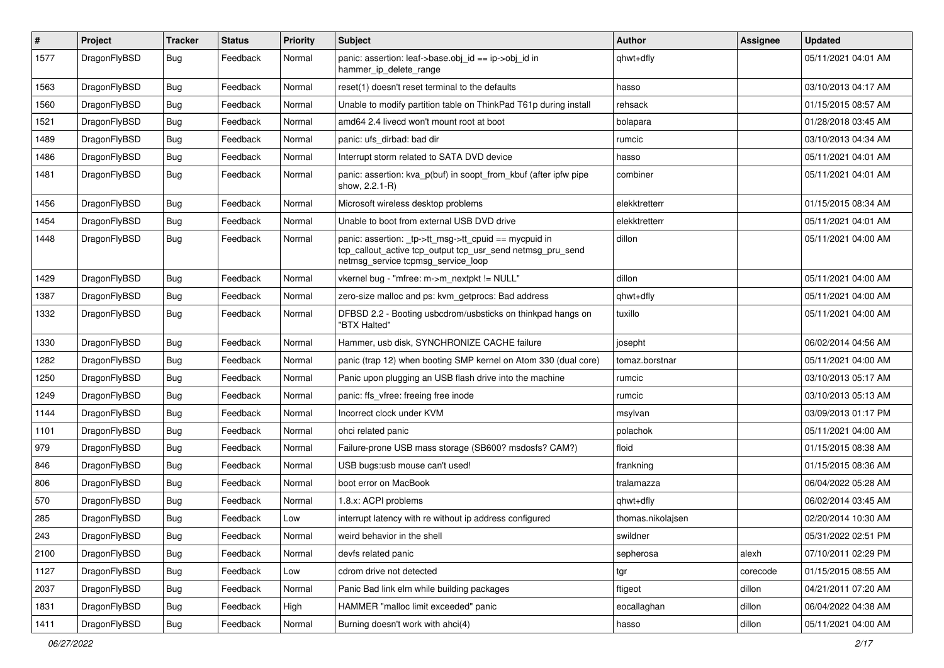| $\sharp$ | Project      | <b>Tracker</b> | <b>Status</b> | <b>Priority</b> | Subject                                                                                                                                                   | Author            | Assignee | <b>Updated</b>      |
|----------|--------------|----------------|---------------|-----------------|-----------------------------------------------------------------------------------------------------------------------------------------------------------|-------------------|----------|---------------------|
| 1577     | DragonFlyBSD | <b>Bug</b>     | Feedback      | Normal          | panic: assertion: leaf->base.obj_id == ip->obj_id in<br>hammer ip delete range                                                                            | qhwt+dfly         |          | 05/11/2021 04:01 AM |
| 1563     | DragonFlyBSD | <b>Bug</b>     | Feedback      | Normal          | reset(1) doesn't reset terminal to the defaults                                                                                                           | hasso             |          | 03/10/2013 04:17 AM |
| 1560     | DragonFlyBSD | <b>Bug</b>     | Feedback      | Normal          | Unable to modify partition table on ThinkPad T61p during install                                                                                          | rehsack           |          | 01/15/2015 08:57 AM |
| 1521     | DragonFlyBSD | Bug            | Feedback      | Normal          | amd64 2.4 livecd won't mount root at boot                                                                                                                 | bolapara          |          | 01/28/2018 03:45 AM |
| 1489     | DragonFlyBSD | <b>Bug</b>     | Feedback      | Normal          | panic: ufs dirbad: bad dir                                                                                                                                | rumcic            |          | 03/10/2013 04:34 AM |
| 1486     | DragonFlyBSD | <b>Bug</b>     | Feedback      | Normal          | Interrupt storm related to SATA DVD device                                                                                                                | hasso             |          | 05/11/2021 04:01 AM |
| 1481     | DragonFlyBSD | Bug            | Feedback      | Normal          | panic: assertion: kva_p(buf) in soopt_from_kbuf (after ipfw pipe<br>show, 2.2.1-R)                                                                        | combiner          |          | 05/11/2021 04:01 AM |
| 1456     | DragonFlyBSD | Bug            | Feedback      | Normal          | Microsoft wireless desktop problems                                                                                                                       | elekktretterr     |          | 01/15/2015 08:34 AM |
| 1454     | DragonFlyBSD | <b>Bug</b>     | Feedback      | Normal          | Unable to boot from external USB DVD drive                                                                                                                | elekktretterr     |          | 05/11/2021 04:01 AM |
| 1448     | DragonFlyBSD | <b>Bug</b>     | Feedback      | Normal          | panic: assertion: _tp->tt_msg->tt_cpuid == mycpuid in<br>tcp_callout_active tcp_output tcp_usr_send netmsg_pru_send<br>netmsg_service tcpmsg_service_loop | dillon            |          | 05/11/2021 04:00 AM |
| 1429     | DragonFlyBSD | Bug            | Feedback      | Normal          | vkernel bug - "mfree: m->m_nextpkt != NULL"                                                                                                               | dillon            |          | 05/11/2021 04:00 AM |
| 1387     | DragonFlyBSD | <b>Bug</b>     | Feedback      | Normal          | zero-size malloc and ps: kvm getprocs: Bad address                                                                                                        | qhwt+dfly         |          | 05/11/2021 04:00 AM |
| 1332     | DragonFlyBSD | <b>Bug</b>     | Feedback      | Normal          | DFBSD 2.2 - Booting usbcdrom/usbsticks on thinkpad hangs on<br>"BTX Halted"                                                                               | tuxillo           |          | 05/11/2021 04:00 AM |
| 1330     | DragonFlyBSD | <b>Bug</b>     | Feedback      | Normal          | Hammer, usb disk, SYNCHRONIZE CACHE failure                                                                                                               | josepht           |          | 06/02/2014 04:56 AM |
| 1282     | DragonFlyBSD | <b>Bug</b>     | Feedback      | Normal          | panic (trap 12) when booting SMP kernel on Atom 330 (dual core)                                                                                           | tomaz.borstnar    |          | 05/11/2021 04:00 AM |
| 1250     | DragonFlyBSD | Bug            | Feedback      | Normal          | Panic upon plugging an USB flash drive into the machine                                                                                                   | rumcic            |          | 03/10/2013 05:17 AM |
| 1249     | DragonFlyBSD | <b>Bug</b>     | Feedback      | Normal          | panic: ffs vfree: freeing free inode                                                                                                                      | rumcic            |          | 03/10/2013 05:13 AM |
| 1144     | DragonFlyBSD | <b>Bug</b>     | Feedback      | Normal          | Incorrect clock under KVM                                                                                                                                 | msylvan           |          | 03/09/2013 01:17 PM |
| 1101     | DragonFlyBSD | Bug            | Feedback      | Normal          | ohci related panic                                                                                                                                        | polachok          |          | 05/11/2021 04:00 AM |
| 979      | DragonFlyBSD | <b>Bug</b>     | Feedback      | Normal          | Failure-prone USB mass storage (SB600? msdosfs? CAM?)                                                                                                     | floid             |          | 01/15/2015 08:38 AM |
| 846      | DragonFlyBSD | Bug            | Feedback      | Normal          | USB bugs:usb mouse can't used!                                                                                                                            | frankning         |          | 01/15/2015 08:36 AM |
| 806      | DragonFlyBSD | <b>Bug</b>     | Feedback      | Normal          | boot error on MacBook                                                                                                                                     | tralamazza        |          | 06/04/2022 05:28 AM |
| 570      | DragonFlyBSD | <b>Bug</b>     | Feedback      | Normal          | 1.8.x: ACPI problems                                                                                                                                      | qhwt+dfly         |          | 06/02/2014 03:45 AM |
| 285      | DragonFlyBSD | <b>Bug</b>     | Feedback      | Low             | interrupt latency with re without ip address configured                                                                                                   | thomas.nikolajsen |          | 02/20/2014 10:30 AM |
| 243      | DragonFlyBSD | <b>Bug</b>     | Feedback      | Normal          | weird behavior in the shell                                                                                                                               | swildner          |          | 05/31/2022 02:51 PM |
| 2100     | DragonFlyBSD | <b>Bug</b>     | Feedback      | Normal          | devfs related panic                                                                                                                                       | sepherosa         | alexh    | 07/10/2011 02:29 PM |
| 1127     | DragonFlyBSD | <b>Bug</b>     | Feedback      | Low             | cdrom drive not detected                                                                                                                                  | tgr               | corecode | 01/15/2015 08:55 AM |
| 2037     | DragonFlyBSD | <b>Bug</b>     | Feedback      | Normal          | Panic Bad link elm while building packages                                                                                                                | ftigeot           | dillon   | 04/21/2011 07:20 AM |
| 1831     | DragonFlyBSD | <b>Bug</b>     | Feedback      | High            | HAMMER "malloc limit exceeded" panic                                                                                                                      | eocallaghan       | dillon   | 06/04/2022 04:38 AM |
| 1411     | DragonFlyBSD | <b>Bug</b>     | Feedback      | Normal          | Burning doesn't work with ahci(4)                                                                                                                         | hasso             | dillon   | 05/11/2021 04:00 AM |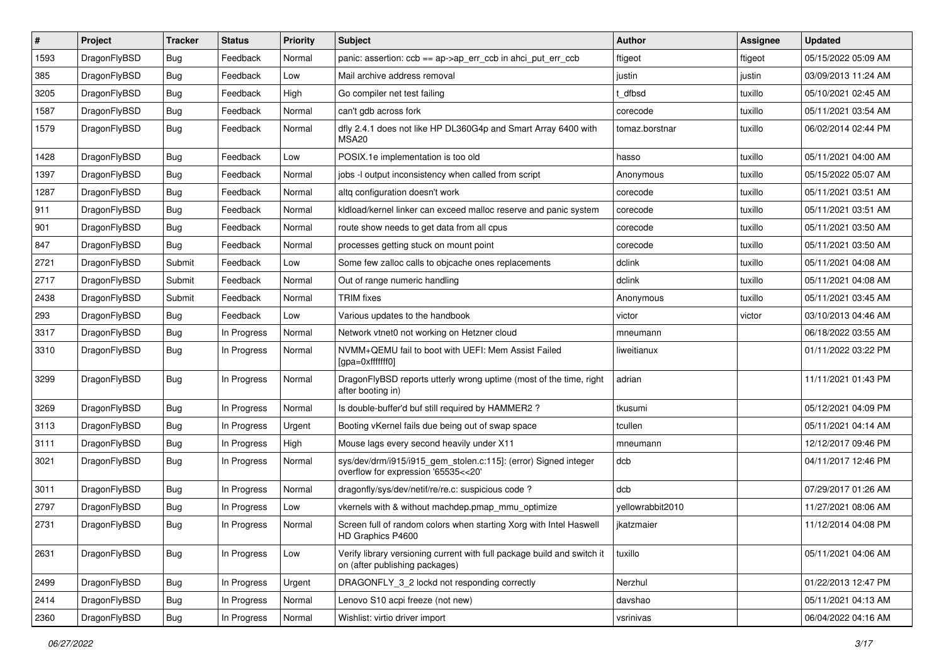| $\vert$ # | Project      | <b>Tracker</b> | <b>Status</b> | <b>Priority</b> | <b>Subject</b>                                                                                            | Author           | Assignee | <b>Updated</b>      |
|-----------|--------------|----------------|---------------|-----------------|-----------------------------------------------------------------------------------------------------------|------------------|----------|---------------------|
| 1593      | DragonFlyBSD | Bug            | Feedback      | Normal          | panic: assertion: $ccb == ap \rightarrow ap\_err\_ccb$ in ahci_put_err_ccb                                | ftigeot          | ftigeot  | 05/15/2022 05:09 AM |
| 385       | DragonFlyBSD | <b>Bug</b>     | Feedback      | Low             | Mail archive address removal                                                                              | justin           | justin   | 03/09/2013 11:24 AM |
| 3205      | DragonFlyBSD | <b>Bug</b>     | Feedback      | High            | Go compiler net test failing                                                                              | t dfbsd          | tuxillo  | 05/10/2021 02:45 AM |
| 1587      | DragonFlyBSD | Bug            | Feedback      | Normal          | can't gdb across fork                                                                                     | corecode         | tuxillo  | 05/11/2021 03:54 AM |
| 1579      | DragonFlyBSD | Bug            | Feedback      | Normal          | dfly 2.4.1 does not like HP DL360G4p and Smart Array 6400 with<br>MSA20                                   | tomaz.borstnar   | tuxillo  | 06/02/2014 02:44 PM |
| 1428      | DragonFlyBSD | Bug            | Feedback      | Low             | POSIX.1e implementation is too old                                                                        | hasso            | tuxillo  | 05/11/2021 04:00 AM |
| 1397      | DragonFlyBSD | <b>Bug</b>     | Feedback      | Normal          | jobs -I output inconsistency when called from script                                                      | Anonymous        | tuxillo  | 05/15/2022 05:07 AM |
| 1287      | DragonFlyBSD | <b>Bug</b>     | Feedback      | Normal          | altq configuration doesn't work                                                                           | corecode         | tuxillo  | 05/11/2021 03:51 AM |
| 911       | DragonFlyBSD | <b>Bug</b>     | Feedback      | Normal          | kldload/kernel linker can exceed malloc reserve and panic system                                          | corecode         | tuxillo  | 05/11/2021 03:51 AM |
| 901       | DragonFlyBSD | <b>Bug</b>     | Feedback      | Normal          | route show needs to get data from all cpus                                                                | corecode         | tuxillo  | 05/11/2021 03:50 AM |
| 847       | DragonFlyBSD | Bug            | Feedback      | Normal          | processes getting stuck on mount point                                                                    | corecode         | tuxillo  | 05/11/2021 03:50 AM |
| 2721      | DragonFlyBSD | Submit         | Feedback      | Low             | Some few zalloc calls to objcache ones replacements                                                       | dclink           | tuxillo  | 05/11/2021 04:08 AM |
| 2717      | DragonFlyBSD | Submit         | Feedback      | Normal          | Out of range numeric handling                                                                             | dclink           | tuxillo  | 05/11/2021 04:08 AM |
| 2438      | DragonFlyBSD | Submit         | Feedback      | Normal          | <b>TRIM</b> fixes                                                                                         | Anonymous        | tuxillo  | 05/11/2021 03:45 AM |
| 293       | DragonFlyBSD | <b>Bug</b>     | Feedback      | Low             | Various updates to the handbook                                                                           | victor           | victor   | 03/10/2013 04:46 AM |
| 3317      | DragonFlyBSD | Bug            | In Progress   | Normal          | Network vtnet0 not working on Hetzner cloud                                                               | mneumann         |          | 06/18/2022 03:55 AM |
| 3310      | DragonFlyBSD | Bug            | In Progress   | Normal          | NVMM+QEMU fail to boot with UEFI: Mem Assist Failed<br>[gpa=0xfffffff0]                                   | liweitianux      |          | 01/11/2022 03:22 PM |
| 3299      | DragonFlyBSD | Bug            | In Progress   | Normal          | DragonFlyBSD reports utterly wrong uptime (most of the time, right<br>after booting in)                   | adrian           |          | 11/11/2021 01:43 PM |
| 3269      | DragonFlyBSD | Bug            | In Progress   | Normal          | Is double-buffer'd buf still required by HAMMER2?                                                         | tkusumi          |          | 05/12/2021 04:09 PM |
| 3113      | DragonFlyBSD | <b>Bug</b>     | In Progress   | Urgent          | Booting vKernel fails due being out of swap space                                                         | tcullen          |          | 05/11/2021 04:14 AM |
| 3111      | DragonFlyBSD | <b>Bug</b>     | In Progress   | High            | Mouse lags every second heavily under X11                                                                 | mneumann         |          | 12/12/2017 09:46 PM |
| 3021      | DragonFlyBSD | Bug            | In Progress   | Normal          | sys/dev/drm/i915/i915_gem_stolen.c:115]: (error) Signed integer<br>overflow for expression '65535<<20'    | dcb              |          | 04/11/2017 12:46 PM |
| 3011      | DragonFlyBSD | <b>Bug</b>     | In Progress   | Normal          | dragonfly/sys/dev/netif/re/re.c: suspicious code?                                                         | dcb              |          | 07/29/2017 01:26 AM |
| 2797      | DragonFlyBSD | Bug            | In Progress   | Low             | vkernels with & without machdep.pmap_mmu_optimize                                                         | yellowrabbit2010 |          | 11/27/2021 08:06 AM |
| 2731      | DragonFlyBSD | <b>Bug</b>     | In Progress   | Normal          | Screen full of random colors when starting Xorg with Intel Haswell<br>HD Graphics P4600                   | jkatzmaier       |          | 11/12/2014 04:08 PM |
| 2631      | DragonFlyBSD | <b>Bug</b>     | In Progress   | Low             | Verify library versioning current with full package build and switch it<br>on (after publishing packages) | tuxillo          |          | 05/11/2021 04:06 AM |
| 2499      | DragonFlyBSD | <b>Bug</b>     | In Progress   | Urgent          | DRAGONFLY_3_2 lockd not responding correctly                                                              | Nerzhul          |          | 01/22/2013 12:47 PM |
| 2414      | DragonFlyBSD | Bug            | In Progress   | Normal          | Lenovo S10 acpi freeze (not new)                                                                          | davshao          |          | 05/11/2021 04:13 AM |
| 2360      | DragonFlyBSD | Bug            | In Progress   | Normal          | Wishlist: virtio driver import                                                                            | vsrinivas        |          | 06/04/2022 04:16 AM |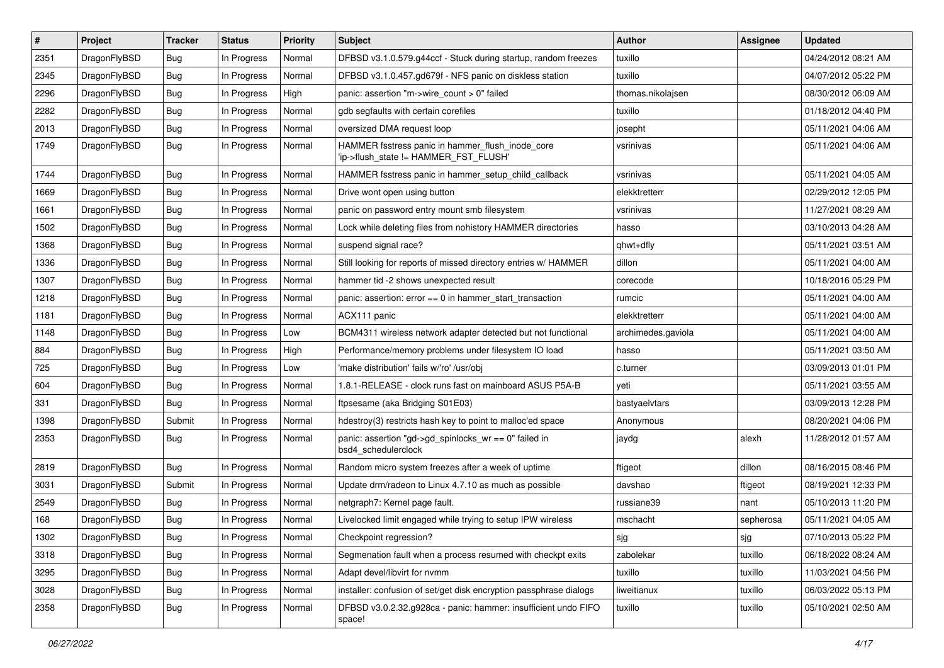| #    | Project      | <b>Tracker</b> | <b>Status</b> | <b>Priority</b> | <b>Subject</b>                                                                            | <b>Author</b>      | Assignee  | <b>Updated</b>      |
|------|--------------|----------------|---------------|-----------------|-------------------------------------------------------------------------------------------|--------------------|-----------|---------------------|
| 2351 | DragonFlyBSD | <b>Bug</b>     | In Progress   | Normal          | DFBSD v3.1.0.579.g44ccf - Stuck during startup, random freezes                            | tuxillo            |           | 04/24/2012 08:21 AM |
| 2345 | DragonFlyBSD | Bug            | In Progress   | Normal          | DFBSD v3.1.0.457.gd679f - NFS panic on diskless station                                   | tuxillo            |           | 04/07/2012 05:22 PM |
| 2296 | DragonFlyBSD | Bug            | In Progress   | High            | panic: assertion "m->wire count > 0" failed                                               | thomas.nikolajsen  |           | 08/30/2012 06:09 AM |
| 2282 | DragonFlyBSD | Bug            | In Progress   | Normal          | gdb segfaults with certain corefiles                                                      | tuxillo            |           | 01/18/2012 04:40 PM |
| 2013 | DragonFlyBSD | Bug            | In Progress   | Normal          | oversized DMA request loop                                                                | josepht            |           | 05/11/2021 04:06 AM |
| 1749 | DragonFlyBSD | Bug            | In Progress   | Normal          | HAMMER fsstress panic in hammer_flush_inode_core<br>'ip->flush_state != HAMMER_FST_FLUSH' | vsrinivas          |           | 05/11/2021 04:06 AM |
| 1744 | DragonFlyBSD | Bug            | In Progress   | Normal          | HAMMER fsstress panic in hammer_setup_child_callback                                      | vsrinivas          |           | 05/11/2021 04:05 AM |
| 1669 | DragonFlyBSD | Bug            | In Progress   | Normal          | Drive wont open using button                                                              | elekktretterr      |           | 02/29/2012 12:05 PM |
| 1661 | DragonFlyBSD | Bug            | In Progress   | Normal          | panic on password entry mount smb filesystem                                              | vsrinivas          |           | 11/27/2021 08:29 AM |
| 1502 | DragonFlyBSD | Bug            | In Progress   | Normal          | Lock while deleting files from nohistory HAMMER directories                               | hasso              |           | 03/10/2013 04:28 AM |
| 1368 | DragonFlyBSD | Bug            | In Progress   | Normal          | suspend signal race?                                                                      | qhwt+dfly          |           | 05/11/2021 03:51 AM |
| 1336 | DragonFlyBSD | Bug            | In Progress   | Normal          | Still looking for reports of missed directory entries w/ HAMMER                           | dillon             |           | 05/11/2021 04:00 AM |
| 1307 | DragonFlyBSD | Bug            | In Progress   | Normal          | hammer tid -2 shows unexpected result                                                     | corecode           |           | 10/18/2016 05:29 PM |
| 1218 | DragonFlyBSD | Bug            | In Progress   | Normal          | panic: assertion: $error == 0$ in hammer start transaction                                | rumcic             |           | 05/11/2021 04:00 AM |
| 1181 | DragonFlyBSD | Bug            | In Progress   | Normal          | ACX111 panic                                                                              | elekktretterr      |           | 05/11/2021 04:00 AM |
| 1148 | DragonFlyBSD | Bug            | In Progress   | Low             | BCM4311 wireless network adapter detected but not functional                              | archimedes.gaviola |           | 05/11/2021 04:00 AM |
| 884  | DragonFlyBSD | Bug            | In Progress   | High            | Performance/memory problems under filesystem IO load                                      | hasso              |           | 05/11/2021 03:50 AM |
| 725  | DragonFlyBSD | <b>Bug</b>     | In Progress   | Low             | 'make distribution' fails w/'ro' /usr/obj                                                 | c.turner           |           | 03/09/2013 01:01 PM |
| 604  | DragonFlyBSD | <b>Bug</b>     | In Progress   | Normal          | 1.8.1-RELEASE - clock runs fast on mainboard ASUS P5A-B                                   | yeti               |           | 05/11/2021 03:55 AM |
| 331  | DragonFlyBSD | <b>Bug</b>     | In Progress   | Normal          | ftpsesame (aka Bridging S01E03)                                                           | bastyaelvtars      |           | 03/09/2013 12:28 PM |
| 1398 | DragonFlyBSD | Submit         | In Progress   | Normal          | hdestroy(3) restricts hash key to point to malloc'ed space                                | Anonymous          |           | 08/20/2021 04:06 PM |
| 2353 | DragonFlyBSD | <b>Bug</b>     | In Progress   | Normal          | panic: assertion "gd->gd_spinlocks_wr == 0" failed in<br>bsd4 schedulerclock              | jaydg              | alexh     | 11/28/2012 01:57 AM |
| 2819 | DragonFlyBSD | <b>Bug</b>     | In Progress   | Normal          | Random micro system freezes after a week of uptime                                        | ftigeot            | dillon    | 08/16/2015 08:46 PM |
| 3031 | DragonFlyBSD | Submit         | In Progress   | Normal          | Update drm/radeon to Linux 4.7.10 as much as possible                                     | davshao            | ftigeot   | 08/19/2021 12:33 PM |
| 2549 | DragonFlyBSD | <b>Bug</b>     | In Progress   | Normal          | netgraph7: Kernel page fault.                                                             | russiane39         | nant      | 05/10/2013 11:20 PM |
| 168  | DragonFlyBSD | <b>Bug</b>     | In Progress   | Normal          | Livelocked limit engaged while trying to setup IPW wireless                               | mschacht           | sepherosa | 05/11/2021 04:05 AM |
| 1302 | DragonFlyBSD | <b>Bug</b>     | In Progress   | Normal          | Checkpoint regression?                                                                    | sjg                | sjg       | 07/10/2013 05:22 PM |
| 3318 | DragonFlyBSD | <b>Bug</b>     | In Progress   | Normal          | Segmenation fault when a process resumed with checkpt exits                               | zabolekar          | tuxillo   | 06/18/2022 08:24 AM |
| 3295 | DragonFlyBSD | <b>Bug</b>     | In Progress   | Normal          | Adapt devel/libvirt for nvmm                                                              | tuxillo            | tuxillo   | 11/03/2021 04:56 PM |
| 3028 | DragonFlyBSD | <b>Bug</b>     | In Progress   | Normal          | installer: confusion of set/get disk encryption passphrase dialogs                        | liweitianux        | tuxillo   | 06/03/2022 05:13 PM |
| 2358 | DragonFlyBSD | Bug            | In Progress   | Normal          | DFBSD v3.0.2.32.g928ca - panic: hammer: insufficient undo FIFO<br>space!                  | tuxillo            | tuxillo   | 05/10/2021 02:50 AM |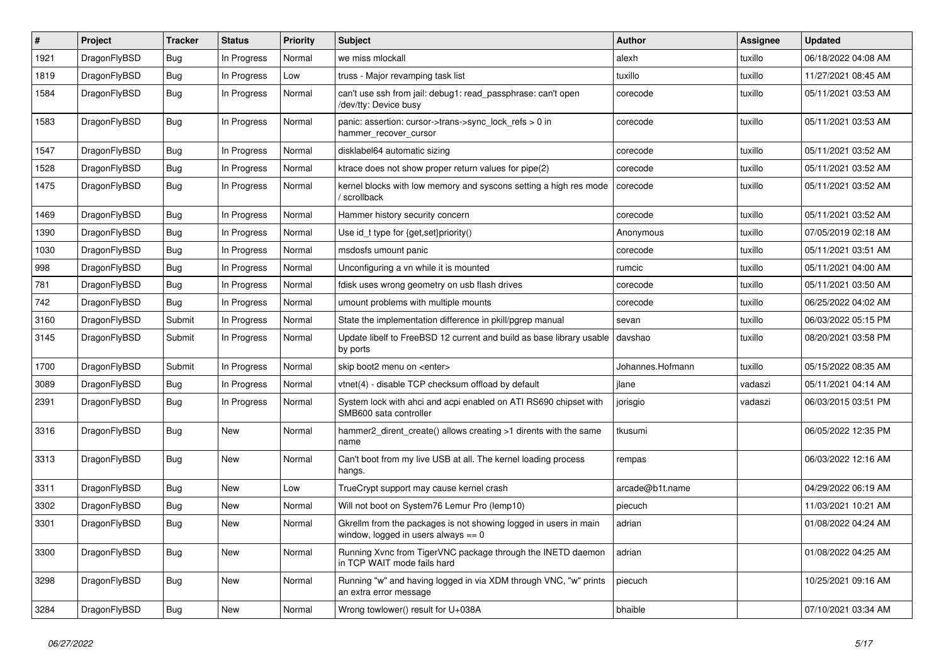| $\vert$ # | Project      | <b>Tracker</b> | <b>Status</b> | <b>Priority</b> | <b>Subject</b>                                                                                            | <b>Author</b>    | Assignee | <b>Updated</b>      |
|-----------|--------------|----------------|---------------|-----------------|-----------------------------------------------------------------------------------------------------------|------------------|----------|---------------------|
| 1921      | DragonFlyBSD | <b>Bug</b>     | In Progress   | Normal          | we miss mlockall                                                                                          | alexh            | tuxillo  | 06/18/2022 04:08 AM |
| 1819      | DragonFlyBSD | <b>Bug</b>     | In Progress   | Low             | truss - Major revamping task list                                                                         | tuxillo          | tuxillo  | 11/27/2021 08:45 AM |
| 1584      | DragonFlyBSD | <b>Bug</b>     | In Progress   | Normal          | can't use ssh from jail: debug1: read passphrase: can't open<br>/dev/tty: Device busy                     | corecode         | tuxillo  | 05/11/2021 03:53 AM |
| 1583      | DragonFlyBSD | Bug            | In Progress   | Normal          | panic: assertion: cursor->trans->sync_lock_refs > 0 in<br>hammer_recover_cursor                           | corecode         | tuxillo  | 05/11/2021 03:53 AM |
| 1547      | DragonFlyBSD | <b>Bug</b>     | In Progress   | Normal          | disklabel64 automatic sizing                                                                              | corecode         | tuxillo  | 05/11/2021 03:52 AM |
| 1528      | DragonFlyBSD | <b>Bug</b>     | In Progress   | Normal          | ktrace does not show proper return values for pipe(2)                                                     | corecode         | tuxillo  | 05/11/2021 03:52 AM |
| 1475      | DragonFlyBSD | <b>Bug</b>     | In Progress   | Normal          | kernel blocks with low memory and syscons setting a high res mode<br>/ scrollback                         | corecode         | tuxillo  | 05/11/2021 03:52 AM |
| 1469      | DragonFlyBSD | <b>Bug</b>     | In Progress   | Normal          | Hammer history security concern                                                                           | corecode         | tuxillo  | 05/11/2021 03:52 AM |
| 1390      | DragonFlyBSD | <b>Bug</b>     | In Progress   | Normal          | Use id_t type for {get,set}priority()                                                                     | Anonymous        | tuxillo  | 07/05/2019 02:18 AM |
| 1030      | DragonFlyBSD | <b>Bug</b>     | In Progress   | Normal          | msdosfs umount panic                                                                                      | corecode         | tuxillo  | 05/11/2021 03:51 AM |
| 998       | DragonFlyBSD | <b>Bug</b>     | In Progress   | Normal          | Unconfiguring a vn while it is mounted                                                                    | rumcic           | tuxillo  | 05/11/2021 04:00 AM |
| 781       | DragonFlyBSD | <b>Bug</b>     | In Progress   | Normal          | fdisk uses wrong geometry on usb flash drives                                                             | corecode         | tuxillo  | 05/11/2021 03:50 AM |
| 742       | DragonFlyBSD | <b>Bug</b>     | In Progress   | Normal          | umount problems with multiple mounts                                                                      | corecode         | tuxillo  | 06/25/2022 04:02 AM |
| 3160      | DragonFlyBSD | Submit         | In Progress   | Normal          | State the implementation difference in pkill/pgrep manual                                                 | sevan            | tuxillo  | 06/03/2022 05:15 PM |
| 3145      | DragonFlyBSD | Submit         | In Progress   | Normal          | Update libelf to FreeBSD 12 current and build as base library usable<br>by ports                          | davshao          | tuxillo  | 08/20/2021 03:58 PM |
| 1700      | DragonFlyBSD | Submit         | In Progress   | Normal          | skip boot2 menu on <enter></enter>                                                                        | Johannes.Hofmann | tuxillo  | 05/15/2022 08:35 AM |
| 3089      | DragonFlyBSD | Bug            | In Progress   | Normal          | vtnet(4) - disable TCP checksum offload by default                                                        | jlane            | vadaszi  | 05/11/2021 04:14 AM |
| 2391      | DragonFlyBSD | Bug            | In Progress   | Normal          | System lock with ahci and acpi enabled on ATI RS690 chipset with<br>SMB600 sata controller                | jorisgio         | vadaszi  | 06/03/2015 03:51 PM |
| 3316      | DragonFlyBSD | <b>Bug</b>     | <b>New</b>    | Normal          | hammer2 dirent create() allows creating >1 dirents with the same<br>name                                  | tkusumi          |          | 06/05/2022 12:35 PM |
| 3313      | DragonFlyBSD | <b>Bug</b>     | <b>New</b>    | Normal          | Can't boot from my live USB at all. The kernel loading process<br>hangs.                                  | rempas           |          | 06/03/2022 12:16 AM |
| 3311      | DragonFlyBSD | <b>Bug</b>     | New           | Low             | TrueCrypt support may cause kernel crash                                                                  | arcade@b1t.name  |          | 04/29/2022 06:19 AM |
| 3302      | DragonFlyBSD | <b>Bug</b>     | New           | Normal          | Will not boot on System76 Lemur Pro (lemp10)                                                              | piecuch          |          | 11/03/2021 10:21 AM |
| 3301      | DragonFlyBSD | Bug            | New           | Normal          | Gkrellm from the packages is not showing logged in users in main<br>window, logged in users always $== 0$ | adrian           |          | 01/08/2022 04:24 AM |
| 3300      | DragonFlyBSD | <b>Bug</b>     | New           | Normal          | Running Xvnc from TigerVNC package through the INETD daemon<br>in TCP WAIT mode fails hard                | adrian           |          | 01/08/2022 04:25 AM |
| 3298      | DragonFlyBSD | Bug            | New           | Normal          | Running "w" and having logged in via XDM through VNC, "w" prints<br>an extra error message                | piecuch          |          | 10/25/2021 09:16 AM |
| 3284      | DragonFlyBSD | <b>Bug</b>     | New           | Normal          | Wrong towlower() result for U+038A                                                                        | bhaible          |          | 07/10/2021 03:34 AM |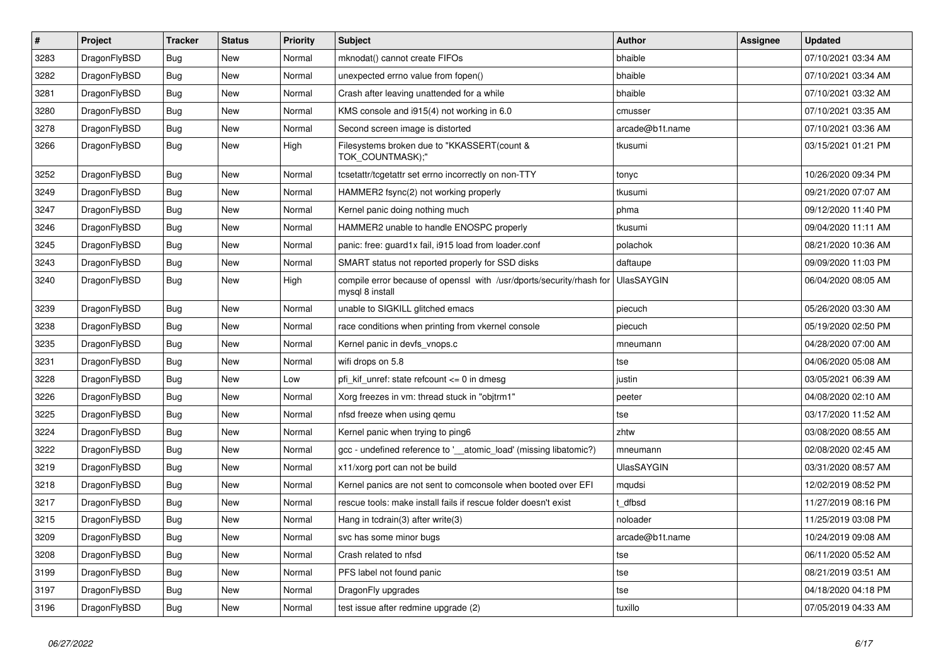| $\vert$ # | Project      | <b>Tracker</b> | <b>Status</b> | <b>Priority</b> | <b>Subject</b>                                                                          | <b>Author</b>     | Assignee | <b>Updated</b>      |
|-----------|--------------|----------------|---------------|-----------------|-----------------------------------------------------------------------------------------|-------------------|----------|---------------------|
| 3283      | DragonFlyBSD | Bug            | New           | Normal          | mknodat() cannot create FIFOs                                                           | bhaible           |          | 07/10/2021 03:34 AM |
| 3282      | DragonFlyBSD | <b>Bug</b>     | <b>New</b>    | Normal          | unexpected errno value from fopen()                                                     | bhaible           |          | 07/10/2021 03:34 AM |
| 3281      | DragonFlyBSD | <b>Bug</b>     | <b>New</b>    | Normal          | Crash after leaving unattended for a while                                              | bhaible           |          | 07/10/2021 03:32 AM |
| 3280      | DragonFlyBSD | Bug            | <b>New</b>    | Normal          | KMS console and i915(4) not working in 6.0                                              | cmusser           |          | 07/10/2021 03:35 AM |
| 3278      | DragonFlyBSD | <b>Bug</b>     | New           | Normal          | Second screen image is distorted                                                        | arcade@b1t.name   |          | 07/10/2021 03:36 AM |
| 3266      | DragonFlyBSD | <b>Bug</b>     | New           | High            | Filesystems broken due to "KKASSERT(count &<br>TOK COUNTMASK);"                         | tkusumi           |          | 03/15/2021 01:21 PM |
| 3252      | DragonFlyBSD | <b>Bug</b>     | <b>New</b>    | Normal          | tcsetattr/tcgetattr set errno incorrectly on non-TTY                                    | tonyc             |          | 10/26/2020 09:34 PM |
| 3249      | DragonFlyBSD | Bug            | <b>New</b>    | Normal          | HAMMER2 fsync(2) not working properly                                                   | tkusumi           |          | 09/21/2020 07:07 AM |
| 3247      | DragonFlyBSD | Bug            | <b>New</b>    | Normal          | Kernel panic doing nothing much                                                         | phma              |          | 09/12/2020 11:40 PM |
| 3246      | DragonFlyBSD | Bug            | New           | Normal          | HAMMER2 unable to handle ENOSPC properly                                                | tkusumi           |          | 09/04/2020 11:11 AM |
| 3245      | DragonFlyBSD | <b>Bug</b>     | <b>New</b>    | Normal          | panic: free: guard1x fail, i915 load from loader.conf                                   | polachok          |          | 08/21/2020 10:36 AM |
| 3243      | DragonFlyBSD | <b>Bug</b>     | New           | Normal          | SMART status not reported properly for SSD disks                                        | daftaupe          |          | 09/09/2020 11:03 PM |
| 3240      | DragonFlyBSD | <b>Bug</b>     | <b>New</b>    | High            | compile error because of openssl with /usr/dports/security/rhash for<br>mysgl 8 install | <b>UlasSAYGIN</b> |          | 06/04/2020 08:05 AM |
| 3239      | DragonFlyBSD | <b>Bug</b>     | <b>New</b>    | Normal          | unable to SIGKILL glitched emacs                                                        | piecuch           |          | 05/26/2020 03:30 AM |
| 3238      | DragonFlyBSD | <b>Bug</b>     | <b>New</b>    | Normal          | race conditions when printing from vkernel console                                      | piecuch           |          | 05/19/2020 02:50 PM |
| 3235      | DragonFlyBSD | <b>Bug</b>     | <b>New</b>    | Normal          | Kernel panic in devfs_vnops.c                                                           | mneumann          |          | 04/28/2020 07:00 AM |
| 3231      | DragonFlyBSD | <b>Bug</b>     | <b>New</b>    | Normal          | wifi drops on 5.8                                                                       | tse               |          | 04/06/2020 05:08 AM |
| 3228      | DragonFlyBSD | <b>Bug</b>     | <b>New</b>    | Low             | pfi kif unref: state refcount $\leq 0$ in dmesq                                         | justin            |          | 03/05/2021 06:39 AM |
| 3226      | DragonFlyBSD | Bug            | <b>New</b>    | Normal          | Xorg freezes in vm: thread stuck in "objtrm1"                                           | peeter            |          | 04/08/2020 02:10 AM |
| 3225      | DragonFlyBSD | <b>Bug</b>     | New           | Normal          | nfsd freeze when using gemu                                                             | tse               |          | 03/17/2020 11:52 AM |
| 3224      | DragonFlyBSD | <b>Bug</b>     | New           | Normal          | Kernel panic when trying to ping6                                                       | zhtw              |          | 03/08/2020 08:55 AM |
| 3222      | DragonFlyBSD | <b>Bug</b>     | <b>New</b>    | Normal          | gcc - undefined reference to '__atomic_load' (missing libatomic?)                       | mneumann          |          | 02/08/2020 02:45 AM |
| 3219      | DragonFlyBSD | <b>Bug</b>     | <b>New</b>    | Normal          | x11/xorg port can not be build                                                          | <b>UlasSAYGIN</b> |          | 03/31/2020 08:57 AM |
| 3218      | DragonFlyBSD | Bug            | <b>New</b>    | Normal          | Kernel panics are not sent to comconsole when booted over EFI                           | mqudsi            |          | 12/02/2019 08:52 PM |
| 3217      | DragonFlyBSD | Bug            | New           | Normal          | rescue tools: make install fails if rescue folder doesn't exist                         | t dfbsd           |          | 11/27/2019 08:16 PM |
| 3215      | DragonFlyBSD | <b>Bug</b>     | <b>New</b>    | Normal          | Hang in tcdrain(3) after write(3)                                                       | noloader          |          | 11/25/2019 03:08 PM |
| 3209      | DragonFlyBSD | <b>Bug</b>     | <b>New</b>    | Normal          | svc has some minor bugs                                                                 | arcade@b1t.name   |          | 10/24/2019 09:08 AM |
| 3208      | DragonFlyBSD | <b>Bug</b>     | <b>New</b>    | Normal          | Crash related to nfsd                                                                   | tse               |          | 06/11/2020 05:52 AM |
| 3199      | DragonFlyBSD | Bug            | <b>New</b>    | Normal          | PFS label not found panic                                                               | tse               |          | 08/21/2019 03:51 AM |
| 3197      | DragonFlyBSD | Bug            | New           | Normal          | DragonFly upgrades                                                                      | tse               |          | 04/18/2020 04:18 PM |
| 3196      | DragonFlyBSD | <b>Bug</b>     | <b>New</b>    | Normal          | test issue after redmine upgrade (2)                                                    | tuxillo           |          | 07/05/2019 04:33 AM |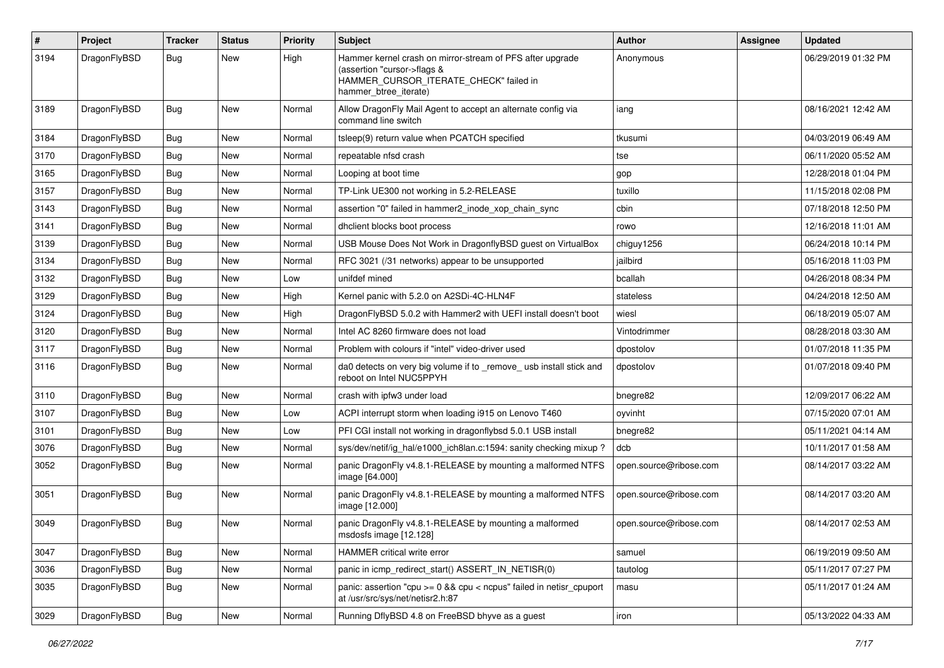| #    | Project      | <b>Tracker</b> | <b>Status</b> | <b>Priority</b> | <b>Subject</b>                                                                                                                                              | <b>Author</b>          | Assignee | <b>Updated</b>      |
|------|--------------|----------------|---------------|-----------------|-------------------------------------------------------------------------------------------------------------------------------------------------------------|------------------------|----------|---------------------|
| 3194 | DragonFlyBSD | Bug            | New           | High            | Hammer kernel crash on mirror-stream of PFS after upgrade<br>(assertion "cursor->flags &<br>HAMMER_CURSOR_ITERATE_CHECK" failed in<br>hammer_btree_iterate) | Anonymous              |          | 06/29/2019 01:32 PM |
| 3189 | DragonFlyBSD | <b>Bug</b>     | <b>New</b>    | Normal          | Allow DragonFly Mail Agent to accept an alternate config via<br>command line switch                                                                         | iang                   |          | 08/16/2021 12:42 AM |
| 3184 | DragonFlyBSD | Bug            | New           | Normal          | tsleep(9) return value when PCATCH specified                                                                                                                | tkusumi                |          | 04/03/2019 06:49 AM |
| 3170 | DragonFlvBSD | <b>Bug</b>     | <b>New</b>    | Normal          | repeatable nfsd crash                                                                                                                                       | tse                    |          | 06/11/2020 05:52 AM |
| 3165 | DragonFlyBSD | <b>Bug</b>     | <b>New</b>    | Normal          | Looping at boot time                                                                                                                                        | gop                    |          | 12/28/2018 01:04 PM |
| 3157 | DragonFlyBSD | <b>Bug</b>     | <b>New</b>    | Normal          | TP-Link UE300 not working in 5.2-RELEASE                                                                                                                    | tuxillo                |          | 11/15/2018 02:08 PM |
| 3143 | DragonFlyBSD | <b>Bug</b>     | <b>New</b>    | Normal          | assertion "0" failed in hammer2 inode xop chain sync                                                                                                        | cbin                   |          | 07/18/2018 12:50 PM |
| 3141 | DragonFlyBSD | <b>Bug</b>     | New           | Normal          | dhclient blocks boot process                                                                                                                                | rowo                   |          | 12/16/2018 11:01 AM |
| 3139 | DragonFlyBSD | Bug            | <b>New</b>    | Normal          | USB Mouse Does Not Work in DragonflyBSD guest on VirtualBox                                                                                                 | chiguy1256             |          | 06/24/2018 10:14 PM |
| 3134 | DragonFlyBSD | <b>Bug</b>     | <b>New</b>    | Normal          | RFC 3021 (/31 networks) appear to be unsupported                                                                                                            | jailbird               |          | 05/16/2018 11:03 PM |
| 3132 | DragonFlyBSD | Bug            | <b>New</b>    | Low             | unifdef mined                                                                                                                                               | bcallah                |          | 04/26/2018 08:34 PM |
| 3129 | DragonFlyBSD | <b>Bug</b>     | New           | High            | Kernel panic with 5.2.0 on A2SDi-4C-HLN4F                                                                                                                   | stateless              |          | 04/24/2018 12:50 AM |
| 3124 | DragonFlyBSD | <b>Bug</b>     | <b>New</b>    | High            | DragonFlyBSD 5.0.2 with Hammer2 with UEFI install doesn't boot                                                                                              | wiesl                  |          | 06/18/2019 05:07 AM |
| 3120 | DragonFlyBSD | Bug            | <b>New</b>    | Normal          | Intel AC 8260 firmware does not load                                                                                                                        | Vintodrimmer           |          | 08/28/2018 03:30 AM |
| 3117 | DragonFlyBSD | <b>Bug</b>     | New           | Normal          | Problem with colours if "intel" video-driver used                                                                                                           | dpostolov              |          | 01/07/2018 11:35 PM |
| 3116 | DragonFlyBSD | Bug            | New           | Normal          | da0 detects on very big volume if to _remove_ usb install stick and<br>reboot on Intel NUC5PPYH                                                             | dpostolov              |          | 01/07/2018 09:40 PM |
| 3110 | DragonFlyBSD | Bug            | <b>New</b>    | Normal          | crash with ipfw3 under load                                                                                                                                 | bnegre82               |          | 12/09/2017 06:22 AM |
| 3107 | DragonFlyBSD | <b>Bug</b>     | <b>New</b>    | Low             | ACPI interrupt storm when loading i915 on Lenovo T460                                                                                                       | oyvinht                |          | 07/15/2020 07:01 AM |
| 3101 | DragonFlyBSD | <b>Bug</b>     | New           | Low             | PFI CGI install not working in dragonflybsd 5.0.1 USB install                                                                                               | bnegre82               |          | 05/11/2021 04:14 AM |
| 3076 | DragonFlyBSD | <b>Bug</b>     | <b>New</b>    | Normal          | sys/dev/netif/ig hal/e1000 ich8lan.c:1594: sanity checking mixup?                                                                                           | dcb                    |          | 10/11/2017 01:58 AM |
| 3052 | DragonFlyBSD | Bug            | <b>New</b>    | Normal          | panic DragonFly v4.8.1-RELEASE by mounting a malformed NTFS<br>image [64.000]                                                                               | open.source@ribose.com |          | 08/14/2017 03:22 AM |
| 3051 | DragonFlyBSD | Bug            | New           | Normal          | panic DragonFly v4.8.1-RELEASE by mounting a malformed NTFS<br>image [12.000]                                                                               | open.source@ribose.com |          | 08/14/2017 03:20 AM |
| 3049 | DragonFlyBSD | Bug            | <b>New</b>    | Normal          | panic DragonFly v4.8.1-RELEASE by mounting a malformed<br>msdosfs image [12.128]                                                                            | open.source@ribose.com |          | 08/14/2017 02:53 AM |
| 3047 | DragonFlyBSD | Bug            | New           | Normal          | <b>HAMMER</b> critical write error                                                                                                                          | samuel                 |          | 06/19/2019 09:50 AM |
| 3036 | DragonFlyBSD | <b>Bug</b>     | New           | Normal          | panic in icmp_redirect_start() ASSERT_IN_NETISR(0)                                                                                                          | tautolog               |          | 05/11/2017 07:27 PM |
| 3035 | DragonFlyBSD | <b>Bug</b>     | New           | Normal          | panic: assertion "cpu >= 0 && cpu < ncpus" failed in netisr_cpuport<br>at /usr/src/sys/net/netisr2.h:87                                                     | masu                   |          | 05/11/2017 01:24 AM |
| 3029 | DragonFlyBSD | <b>Bug</b>     | New           | Normal          | Running DflyBSD 4.8 on FreeBSD bhyve as a guest                                                                                                             | iron                   |          | 05/13/2022 04:33 AM |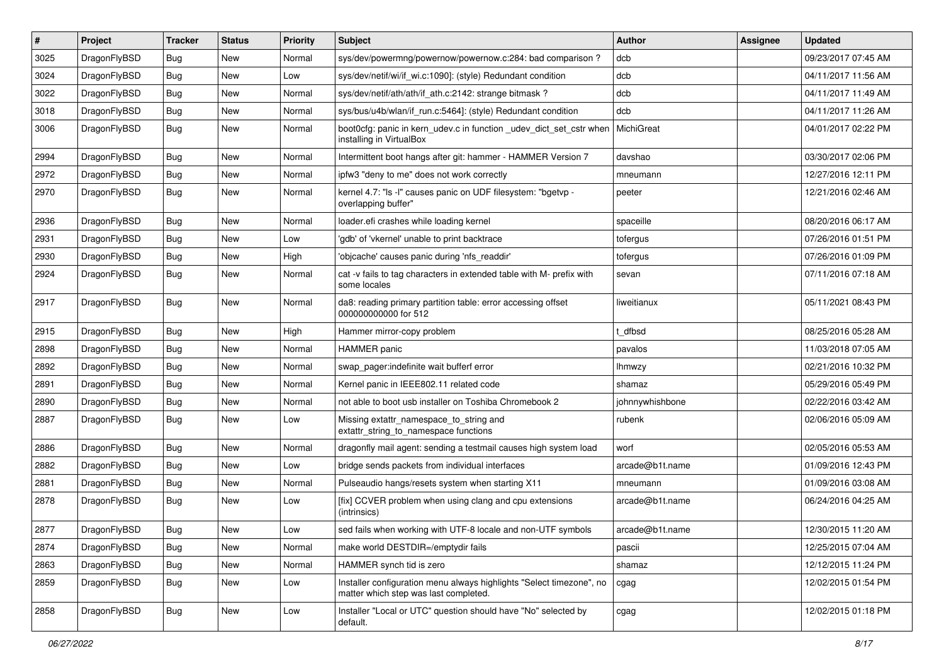| #    | Project      | <b>Tracker</b> | <b>Status</b> | <b>Priority</b> | Subject                                                                                                       | Author          | Assignee | <b>Updated</b>      |
|------|--------------|----------------|---------------|-----------------|---------------------------------------------------------------------------------------------------------------|-----------------|----------|---------------------|
| 3025 | DragonFlyBSD | <b>Bug</b>     | <b>New</b>    | Normal          | sys/dev/powermng/powernow/powernow.c:284: bad comparison?                                                     | dcb             |          | 09/23/2017 07:45 AM |
| 3024 | DragonFlyBSD | <b>Bug</b>     | <b>New</b>    | Low             | sys/dev/netif/wi/if wi.c:1090]: (style) Redundant condition                                                   | dcb             |          | 04/11/2017 11:56 AM |
| 3022 | DragonFlyBSD | <b>Bug</b>     | <b>New</b>    | Normal          | sys/dev/netif/ath/ath/if ath.c:2142: strange bitmask?                                                         | dcb             |          | 04/11/2017 11:49 AM |
| 3018 | DragonFlyBSD | Bug            | <b>New</b>    | Normal          | sys/bus/u4b/wlan/if_run.c:5464]: (style) Redundant condition                                                  | dcb             |          | 04/11/2017 11:26 AM |
| 3006 | DragonFlyBSD | Bug            | <b>New</b>    | Normal          | boot0cfg: panic in kern_udev.c in function _udev_dict_set_cstr when<br>installing in VirtualBox               | MichiGreat      |          | 04/01/2017 02:22 PM |
| 2994 | DragonFlyBSD | Bug            | New           | Normal          | Intermittent boot hangs after git: hammer - HAMMER Version 7                                                  | davshao         |          | 03/30/2017 02:06 PM |
| 2972 | DragonFlyBSD | <b>Bug</b>     | <b>New</b>    | Normal          | ipfw3 "deny to me" does not work correctly                                                                    | mneumann        |          | 12/27/2016 12:11 PM |
| 2970 | DragonFlyBSD | Bug            | <b>New</b>    | Normal          | kernel 4.7: "Is -I" causes panic on UDF filesystem: "bgetvp -<br>overlapping buffer"                          | peeter          |          | 12/21/2016 02:46 AM |
| 2936 | DragonFlyBSD | <b>Bug</b>     | <b>New</b>    | Normal          | loader.efi crashes while loading kernel                                                                       | spaceille       |          | 08/20/2016 06:17 AM |
| 2931 | DragonFlyBSD | Bug            | <b>New</b>    | Low             | 'gdb' of 'vkernel' unable to print backtrace                                                                  | tofergus        |          | 07/26/2016 01:51 PM |
| 2930 | DragonFlyBSD | <b>Bug</b>     | <b>New</b>    | High            | 'objcache' causes panic during 'nfs_readdir'                                                                  | tofergus        |          | 07/26/2016 01:09 PM |
| 2924 | DragonFlyBSD | <b>Bug</b>     | New           | Normal          | cat -v fails to tag characters in extended table with M- prefix with<br>some locales                          | sevan           |          | 07/11/2016 07:18 AM |
| 2917 | DragonFlyBSD | <b>Bug</b>     | New           | Normal          | da8: reading primary partition table: error accessing offset<br>000000000000 for 512                          | liweitianux     |          | 05/11/2021 08:43 PM |
| 2915 | DragonFlyBSD | Bug            | <b>New</b>    | High            | Hammer mirror-copy problem                                                                                    | t dfbsd         |          | 08/25/2016 05:28 AM |
| 2898 | DragonFlyBSD | <b>Bug</b>     | <b>New</b>    | Normal          | HAMMER panic                                                                                                  | pavalos         |          | 11/03/2018 07:05 AM |
| 2892 | DragonFlyBSD | Bug            | <b>New</b>    | Normal          | swap pager:indefinite wait bufferf error                                                                      | lhmwzy          |          | 02/21/2016 10:32 PM |
| 2891 | DragonFlyBSD | Bug            | <b>New</b>    | Normal          | Kernel panic in IEEE802.11 related code                                                                       | shamaz          |          | 05/29/2016 05:49 PM |
| 2890 | DragonFlyBSD | <b>Bug</b>     | New           | Normal          | not able to boot usb installer on Toshiba Chromebook 2                                                        | johnnywhishbone |          | 02/22/2016 03:42 AM |
| 2887 | DragonFlyBSD | Bug            | <b>New</b>    | Low             | Missing extattr_namespace_to_string and<br>extattr_string_to_namespace functions                              | rubenk          |          | 02/06/2016 05:09 AM |
| 2886 | DragonFlyBSD | Bug            | <b>New</b>    | Normal          | dragonfly mail agent: sending a testmail causes high system load                                              | worf            |          | 02/05/2016 05:53 AM |
| 2882 | DragonFlyBSD | Bug            | <b>New</b>    | Low             | bridge sends packets from individual interfaces                                                               | arcade@b1t.name |          | 01/09/2016 12:43 PM |
| 2881 | DragonFlyBSD | <b>Bug</b>     | <b>New</b>    | Normal          | Pulseaudio hangs/resets system when starting X11                                                              | mneumann        |          | 01/09/2016 03:08 AM |
| 2878 | DragonFlyBSD | Bug            | New           | Low             | [fix] CCVER problem when using clang and cpu extensions<br>(intrinsics)                                       | arcade@b1t.name |          | 06/24/2016 04:25 AM |
| 2877 | DragonFlyBSD | <b>Bug</b>     | New           | Low             | sed fails when working with UTF-8 locale and non-UTF symbols                                                  | arcade@b1t.name |          | 12/30/2015 11:20 AM |
| 2874 | DragonFlyBSD | Bug            | New           | Normal          | make world DESTDIR=/emptydir fails                                                                            | pascii          |          | 12/25/2015 07:04 AM |
| 2863 | DragonFlyBSD | <b>Bug</b>     | New           | Normal          | HAMMER synch tid is zero                                                                                      | shamaz          |          | 12/12/2015 11:24 PM |
| 2859 | DragonFlyBSD | <b>Bug</b>     | New           | Low             | Installer configuration menu always highlights "Select timezone", no<br>matter which step was last completed. | cgag            |          | 12/02/2015 01:54 PM |
| 2858 | DragonFlyBSD | <b>Bug</b>     | New           | Low             | Installer "Local or UTC" question should have "No" selected by<br>default.                                    | cgag            |          | 12/02/2015 01:18 PM |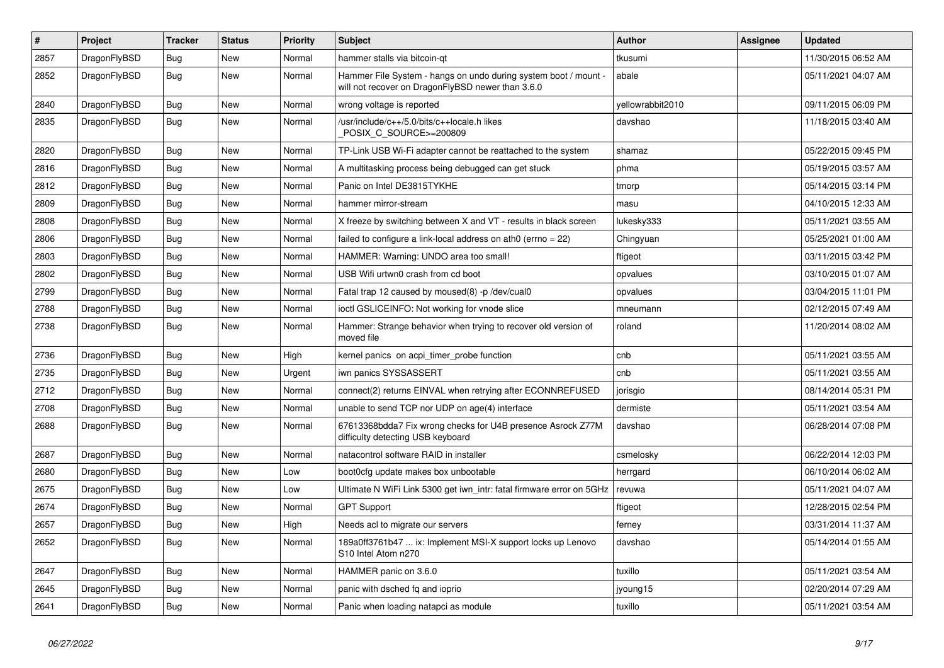| $\sharp$ | Project      | <b>Tracker</b> | <b>Status</b> | <b>Priority</b> | <b>Subject</b>                                                                                                       | <b>Author</b>    | Assignee | Updated             |
|----------|--------------|----------------|---------------|-----------------|----------------------------------------------------------------------------------------------------------------------|------------------|----------|---------------------|
| 2857     | DragonFlyBSD | Bug            | <b>New</b>    | Normal          | hammer stalls via bitcoin-qt                                                                                         | tkusumi          |          | 11/30/2015 06:52 AM |
| 2852     | DragonFlyBSD | Bug            | <b>New</b>    | Normal          | Hammer File System - hangs on undo during system boot / mount -<br>will not recover on DragonFlyBSD newer than 3.6.0 | abale            |          | 05/11/2021 04:07 AM |
| 2840     | DragonFlyBSD | <b>Bug</b>     | <b>New</b>    | Normal          | wrong voltage is reported                                                                                            | vellowrabbit2010 |          | 09/11/2015 06:09 PM |
| 2835     | DragonFlyBSD | Bug            | <b>New</b>    | Normal          | /usr/include/c++/5.0/bits/c++locale.h likes<br>POSIX_C_SOURCE>=200809                                                | davshao          |          | 11/18/2015 03:40 AM |
| 2820     | DragonFlyBSD | <b>Bug</b>     | <b>New</b>    | Normal          | TP-Link USB Wi-Fi adapter cannot be reattached to the system                                                         | shamaz           |          | 05/22/2015 09:45 PM |
| 2816     | DragonFlyBSD | Bug            | <b>New</b>    | Normal          | A multitasking process being debugged can get stuck                                                                  | phma             |          | 05/19/2015 03:57 AM |
| 2812     | DragonFlyBSD | <b>Bug</b>     | <b>New</b>    | Normal          | Panic on Intel DE3815TYKHE                                                                                           | tmorp            |          | 05/14/2015 03:14 PM |
| 2809     | DragonFlyBSD | Bug            | <b>New</b>    | Normal          | hammer mirror-stream                                                                                                 | masu             |          | 04/10/2015 12:33 AM |
| 2808     | DragonFlyBSD | <b>Bug</b>     | <b>New</b>    | Normal          | X freeze by switching between X and VT - results in black screen                                                     | lukesky333       |          | 05/11/2021 03:55 AM |
| 2806     | DragonFlyBSD | <b>Bug</b>     | <b>New</b>    | Normal          | failed to configure a link-local address on ath0 (errno = 22)                                                        | Chingyuan        |          | 05/25/2021 01:00 AM |
| 2803     | DragonFlyBSD | <b>Bug</b>     | <b>New</b>    | Normal          | HAMMER: Warning: UNDO area too small!                                                                                | ftigeot          |          | 03/11/2015 03:42 PM |
| 2802     | DragonFlyBSD | Bug            | <b>New</b>    | Normal          | USB Wifi urtwn0 crash from cd boot                                                                                   | opvalues         |          | 03/10/2015 01:07 AM |
| 2799     | DragonFlyBSD | <b>Bug</b>     | <b>New</b>    | Normal          | Fatal trap 12 caused by moused(8) -p/dev/cual0                                                                       | opvalues         |          | 03/04/2015 11:01 PM |
| 2788     | DragonFlyBSD | Bug            | <b>New</b>    | Normal          | ioctl GSLICEINFO: Not working for vnode slice                                                                        | mneumann         |          | 02/12/2015 07:49 AM |
| 2738     | DragonFlyBSD | Bug            | New           | Normal          | Hammer: Strange behavior when trying to recover old version of<br>moved file                                         | roland           |          | 11/20/2014 08:02 AM |
| 2736     | DragonFlyBSD | <b>Bug</b>     | <b>New</b>    | High            | kernel panics on acpi_timer_probe function                                                                           | cnb              |          | 05/11/2021 03:55 AM |
| 2735     | DragonFlyBSD | Bug            | <b>New</b>    | Urgent          | iwn panics SYSSASSERT                                                                                                | cnb              |          | 05/11/2021 03:55 AM |
| 2712     | DragonFlyBSD | Bug            | <b>New</b>    | Normal          | connect(2) returns EINVAL when retrying after ECONNREFUSED                                                           | jorisgio         |          | 08/14/2014 05:31 PM |
| 2708     | DragonFlyBSD | <b>Bug</b>     | <b>New</b>    | Normal          | unable to send TCP nor UDP on age(4) interface                                                                       | dermiste         |          | 05/11/2021 03:54 AM |
| 2688     | DragonFlyBSD | <b>Bug</b>     | <b>New</b>    | Normal          | 67613368bdda7 Fix wrong checks for U4B presence Asrock Z77M<br>difficulty detecting USB keyboard                     | davshao          |          | 06/28/2014 07:08 PM |
| 2687     | DragonFlyBSD | Bug            | <b>New</b>    | Normal          | natacontrol software RAID in installer                                                                               | csmelosky        |          | 06/22/2014 12:03 PM |
| 2680     | DragonFlyBSD | <b>Bug</b>     | New           | Low             | boot0cfg update makes box unbootable                                                                                 | herrgard         |          | 06/10/2014 06:02 AM |
| 2675     | DragonFlyBSD | Bug            | New           | Low             | Ultimate N WiFi Link 5300 get iwn_intr: fatal firmware error on 5GHz                                                 | revuwa           |          | 05/11/2021 04:07 AM |
| 2674     | DragonFlyBSD | Bug            | New           | Normal          | <b>GPT Support</b>                                                                                                   | ftigeot          |          | 12/28/2015 02:54 PM |
| 2657     | DragonFlyBSD | Bug            | New           | High            | Needs acl to migrate our servers                                                                                     | ferney           |          | 03/31/2014 11:37 AM |
| 2652     | DragonFlyBSD | Bug            | <b>New</b>    | Normal          | 189a0ff3761b47  ix: Implement MSI-X support locks up Lenovo<br>S10 Intel Atom n270                                   | davshao          |          | 05/14/2014 01:55 AM |
| 2647     | DragonFlyBSD | Bug            | <b>New</b>    | Normal          | HAMMER panic on 3.6.0                                                                                                | tuxillo          |          | 05/11/2021 03:54 AM |
| 2645     | DragonFlyBSD | Bug            | <b>New</b>    | Normal          | panic with dsched fq and ioprio                                                                                      | jyoung15         |          | 02/20/2014 07:29 AM |
| 2641     | DragonFlyBSD | Bug            | <b>New</b>    | Normal          | Panic when loading natapci as module                                                                                 | tuxillo          |          | 05/11/2021 03:54 AM |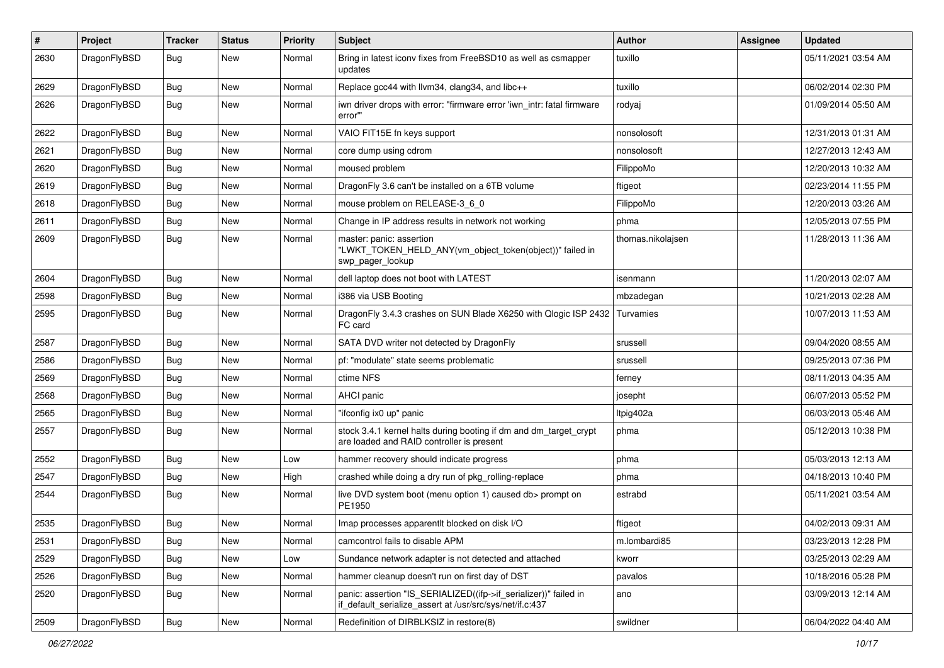| $\sharp$ | Project      | <b>Tracker</b> | <b>Status</b> | <b>Priority</b> | Subject                                                                                                                      | Author            | Assignee | <b>Updated</b>      |
|----------|--------------|----------------|---------------|-----------------|------------------------------------------------------------------------------------------------------------------------------|-------------------|----------|---------------------|
| 2630     | DragonFlyBSD | Bug            | <b>New</b>    | Normal          | Bring in latest iconv fixes from FreeBSD10 as well as csmapper<br>updates                                                    | tuxillo           |          | 05/11/2021 03:54 AM |
| 2629     | DragonFlyBSD | Bug            | <b>New</b>    | Normal          | Replace gcc44 with llvm34, clang34, and libc++                                                                               | tuxillo           |          | 06/02/2014 02:30 PM |
| 2626     | DragonFlyBSD | Bug            | <b>New</b>    | Normal          | iwn driver drops with error: "firmware error 'iwn_intr: fatal firmware<br>error""                                            | rodyaj            |          | 01/09/2014 05:50 AM |
| 2622     | DragonFlyBSD | Bug            | <b>New</b>    | Normal          | VAIO FIT15E fn keys support                                                                                                  | nonsolosoft       |          | 12/31/2013 01:31 AM |
| 2621     | DragonFlyBSD | Bug            | <b>New</b>    | Normal          | core dump using cdrom                                                                                                        | nonsolosoft       |          | 12/27/2013 12:43 AM |
| 2620     | DragonFlyBSD | <b>Bug</b>     | <b>New</b>    | Normal          | moused problem                                                                                                               | FilippoMo         |          | 12/20/2013 10:32 AM |
| 2619     | DragonFlyBSD | Bug            | <b>New</b>    | Normal          | DragonFly 3.6 can't be installed on a 6TB volume                                                                             | ftigeot           |          | 02/23/2014 11:55 PM |
| 2618     | DragonFlyBSD | Bug            | <b>New</b>    | Normal          | mouse problem on RELEASE-3_6_0                                                                                               | FilippoMo         |          | 12/20/2013 03:26 AM |
| 2611     | DragonFlyBSD | Bug            | <b>New</b>    | Normal          | Change in IP address results in network not working                                                                          | phma              |          | 12/05/2013 07:55 PM |
| 2609     | DragonFlyBSD | Bug            | New           | Normal          | master: panic: assertion<br>"LWKT TOKEN HELD ANY(vm object token(object))" failed in<br>swp_pager_lookup                     | thomas.nikolajsen |          | 11/28/2013 11:36 AM |
| 2604     | DragonFlyBSD | Bug            | <b>New</b>    | Normal          | dell laptop does not boot with LATEST                                                                                        | isenmann          |          | 11/20/2013 02:07 AM |
| 2598     | DragonFlyBSD | Bug            | <b>New</b>    | Normal          | i386 via USB Booting                                                                                                         | mbzadegan         |          | 10/21/2013 02:28 AM |
| 2595     | DragonFlyBSD | Bug            | <b>New</b>    | Normal          | DragonFly 3.4.3 crashes on SUN Blade X6250 with Qlogic ISP 2432<br>FC card                                                   | Turvamies         |          | 10/07/2013 11:53 AM |
| 2587     | DragonFlyBSD | Bug            | <b>New</b>    | Normal          | SATA DVD writer not detected by DragonFly                                                                                    | srussell          |          | 09/04/2020 08:55 AM |
| 2586     | DragonFlyBSD | <b>Bug</b>     | <b>New</b>    | Normal          | pf: "modulate" state seems problematic                                                                                       | srussell          |          | 09/25/2013 07:36 PM |
| 2569     | DragonFlyBSD | Bug            | <b>New</b>    | Normal          | ctime NFS                                                                                                                    | ferney            |          | 08/11/2013 04:35 AM |
| 2568     | DragonFlyBSD | <b>Bug</b>     | New           | Normal          | <b>AHCI</b> panic                                                                                                            | josepht           |          | 06/07/2013 05:52 PM |
| 2565     | DragonFlyBSD | Bug            | <b>New</b>    | Normal          | "ifconfig ix0 up" panic                                                                                                      | ltpig402a         |          | 06/03/2013 05:46 AM |
| 2557     | DragonFlyBSD | Bug            | New           | Normal          | stock 3.4.1 kernel halts during booting if dm and dm_target_crypt<br>are loaded and RAID controller is present               | phma              |          | 05/12/2013 10:38 PM |
| 2552     | DragonFlyBSD | <b>Bug</b>     | <b>New</b>    | Low             | hammer recovery should indicate progress                                                                                     | phma              |          | 05/03/2013 12:13 AM |
| 2547     | DragonFlyBSD | Bug            | <b>New</b>    | High            | crashed while doing a dry run of pkg_rolling-replace                                                                         | phma              |          | 04/18/2013 10:40 PM |
| 2544     | DragonFlyBSD | Bug            | <b>New</b>    | Normal          | live DVD system boot (menu option 1) caused db> prompt on<br>PE1950                                                          | estrabd           |          | 05/11/2021 03:54 AM |
| 2535     | DragonFlyBSD | Bug            | <b>New</b>    | Normal          | Imap processes apparentlt blocked on disk I/O                                                                                | ftigeot           |          | 04/02/2013 09:31 AM |
| 2531     | DragonFlyBSD | <b>Bug</b>     | New           | Normal          | camcontrol fails to disable APM                                                                                              | m.lombardi85      |          | 03/23/2013 12:28 PM |
| 2529     | DragonFlyBSD | Bug            | <b>New</b>    | Low             | Sundance network adapter is not detected and attached                                                                        | kworr             |          | 03/25/2013 02:29 AM |
| 2526     | DragonFlyBSD | Bug            | New           | Normal          | hammer cleanup doesn't run on first day of DST                                                                               | pavalos           |          | 10/18/2016 05:28 PM |
| 2520     | DragonFlyBSD | <b>Bug</b>     | New           | Normal          | panic: assertion "IS_SERIALIZED((ifp->if_serializer))" failed in<br>if_default_serialize_assert at /usr/src/sys/net/if.c:437 | ano               |          | 03/09/2013 12:14 AM |
| 2509     | DragonFlyBSD | <b>Bug</b>     | New           | Normal          | Redefinition of DIRBLKSIZ in restore(8)                                                                                      | swildner          |          | 06/04/2022 04:40 AM |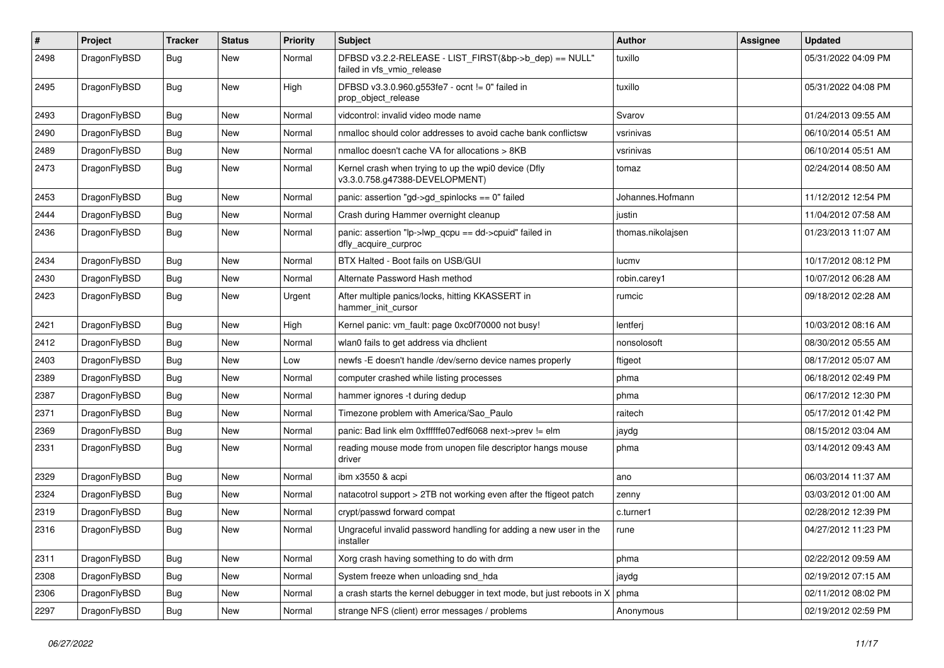| $\pmb{\#}$ | Project      | <b>Tracker</b> | <b>Status</b> | <b>Priority</b> | Subject                                                                                | <b>Author</b>     | Assignee | <b>Updated</b>      |
|------------|--------------|----------------|---------------|-----------------|----------------------------------------------------------------------------------------|-------------------|----------|---------------------|
| 2498       | DragonFlyBSD | Bug            | New           | Normal          | DFBSD v3.2.2-RELEASE - LIST_FIRST(&bp->b_dep) == NULL"<br>failed in vfs_vmio_release   | tuxillo           |          | 05/31/2022 04:09 PM |
| 2495       | DragonFlyBSD | <b>Bug</b>     | <b>New</b>    | High            | DFBSD v3.3.0.960.g553fe7 - ocnt != 0" failed in<br>prop_object_release                 | tuxillo           |          | 05/31/2022 04:08 PM |
| 2493       | DragonFlyBSD | <b>Bug</b>     | <b>New</b>    | Normal          | vidcontrol: invalid video mode name                                                    | Svarov            |          | 01/24/2013 09:55 AM |
| 2490       | DragonFlyBSD | <b>Bug</b>     | New           | Normal          | nmalloc should color addresses to avoid cache bank conflictsw                          | vsrinivas         |          | 06/10/2014 05:51 AM |
| 2489       | DragonFlyBSD | Bug            | New           | Normal          | nmalloc doesn't cache VA for allocations > 8KB                                         | vsrinivas         |          | 06/10/2014 05:51 AM |
| 2473       | DragonFlyBSD | Bug            | New           | Normal          | Kernel crash when trying to up the wpi0 device (Dfly<br>v3.3.0.758.g47388-DEVELOPMENT) | tomaz             |          | 02/24/2014 08:50 AM |
| 2453       | DragonFlyBSD | <b>Bug</b>     | <b>New</b>    | Normal          | panic: assertion "gd->gd_spinlocks == 0" failed                                        | Johannes.Hofmann  |          | 11/12/2012 12:54 PM |
| 2444       | DragonFlyBSD | <b>Bug</b>     | New           | Normal          | Crash during Hammer overnight cleanup                                                  | justin            |          | 11/04/2012 07:58 AM |
| 2436       | DragonFlyBSD | Bug            | New           | Normal          | panic: assertion "lp->lwp_qcpu == dd->cpuid" failed in<br>dfly_acquire_curproc         | thomas.nikolajsen |          | 01/23/2013 11:07 AM |
| 2434       | DragonFlyBSD | <b>Bug</b>     | <b>New</b>    | Normal          | BTX Halted - Boot fails on USB/GUI                                                     | lucmv             |          | 10/17/2012 08:12 PM |
| 2430       | DragonFlyBSD | Bug            | <b>New</b>    | Normal          | Alternate Password Hash method                                                         | robin.carey1      |          | 10/07/2012 06:28 AM |
| 2423       | DragonFlyBSD | <b>Bug</b>     | New           | Urgent          | After multiple panics/locks, hitting KKASSERT in<br>hammer init cursor                 | rumcic            |          | 09/18/2012 02:28 AM |
| 2421       | DragonFlyBSD | <b>Bug</b>     | <b>New</b>    | High            | Kernel panic: vm_fault: page 0xc0f70000 not busy!                                      | lentferj          |          | 10/03/2012 08:16 AM |
| 2412       | DragonFlyBSD | <b>Bug</b>     | New           | Normal          | wlan0 fails to get address via dhclient                                                | nonsolosoft       |          | 08/30/2012 05:55 AM |
| 2403       | DragonFlyBSD | Bug            | <b>New</b>    | Low             | newfs -E doesn't handle /dev/serno device names properly                               | ftigeot           |          | 08/17/2012 05:07 AM |
| 2389       | DragonFlyBSD | Bug            | New           | Normal          | computer crashed while listing processes                                               | phma              |          | 06/18/2012 02:49 PM |
| 2387       | DragonFlyBSD | <b>Bug</b>     | New           | Normal          | hammer ignores -t during dedup                                                         | phma              |          | 06/17/2012 12:30 PM |
| 2371       | DragonFlyBSD | <b>Bug</b>     | <b>New</b>    | Normal          | Timezone problem with America/Sao_Paulo                                                | raitech           |          | 05/17/2012 01:42 PM |
| 2369       | DragonFlyBSD | <b>Bug</b>     | New           | Normal          | panic: Bad link elm 0xffffffe07edf6068 next->prev != elm                               | jaydg             |          | 08/15/2012 03:04 AM |
| 2331       | DragonFlyBSD | Bug            | New           | Normal          | reading mouse mode from unopen file descriptor hangs mouse<br>driver                   | phma              |          | 03/14/2012 09:43 AM |
| 2329       | DragonFlyBSD | <b>Bug</b>     | <b>New</b>    | Normal          | ibm x3550 & acpi                                                                       | ano               |          | 06/03/2014 11:37 AM |
| 2324       | DragonFlyBSD | Bug            | <b>New</b>    | Normal          | natacotrol support > 2TB not working even after the ftigeot patch                      | zenny             |          | 03/03/2012 01:00 AM |
| 2319       | DragonFlyBSD | Bug            | New           | Normal          | crypt/passwd forward compat                                                            | c.turner1         |          | 02/28/2012 12:39 PM |
| 2316       | DragonFlyBSD | <b>Bug</b>     | New           | Normal          | Ungraceful invalid password handling for adding a new user in the<br>installer         | rune              |          | 04/27/2012 11:23 PM |
| 2311       | DragonFlyBSD | <b>Bug</b>     | New           | Normal          | Xorg crash having something to do with drm                                             | phma              |          | 02/22/2012 09:59 AM |
| 2308       | DragonFlyBSD | Bug            | New           | Normal          | System freeze when unloading snd_hda                                                   | jaydg             |          | 02/19/2012 07:15 AM |
| 2306       | DragonFlyBSD | <b>Bug</b>     | New           | Normal          | a crash starts the kernel debugger in text mode, but just reboots in X                 | phma              |          | 02/11/2012 08:02 PM |
| 2297       | DragonFlyBSD | <b>Bug</b>     | New           | Normal          | strange NFS (client) error messages / problems                                         | Anonymous         |          | 02/19/2012 02:59 PM |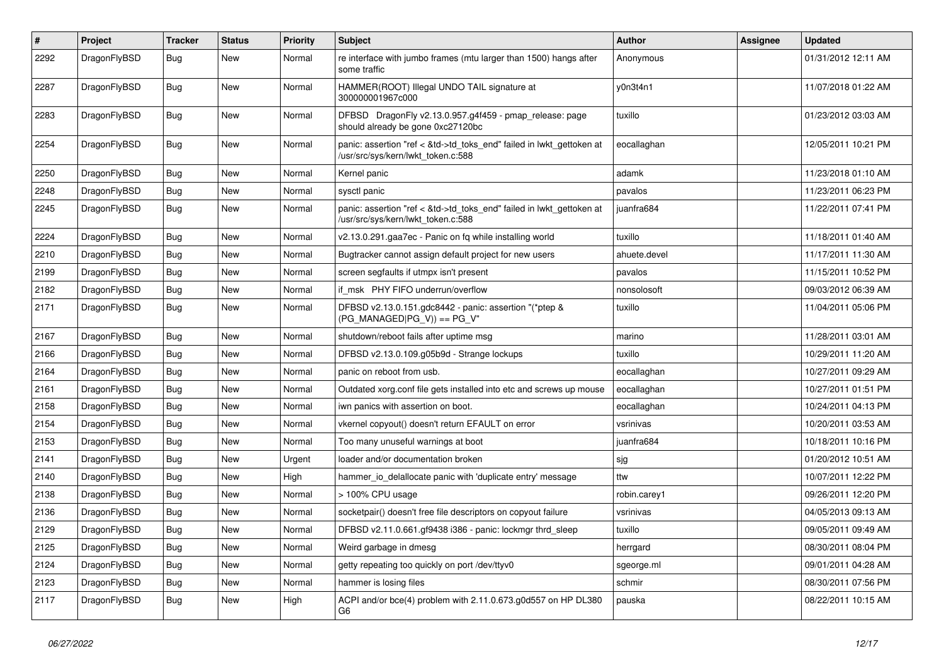| $\sharp$ | Project      | <b>Tracker</b> | <b>Status</b> | <b>Priority</b> | <b>Subject</b>                                                                                             | <b>Author</b> | <b>Assignee</b> | <b>Updated</b>      |
|----------|--------------|----------------|---------------|-----------------|------------------------------------------------------------------------------------------------------------|---------------|-----------------|---------------------|
| 2292     | DragonFlyBSD | Bug            | New           | Normal          | re interface with jumbo frames (mtu larger than 1500) hangs after<br>some traffic                          | Anonymous     |                 | 01/31/2012 12:11 AM |
| 2287     | DragonFlyBSD | Bug            | New           | Normal          | HAMMER(ROOT) Illegal UNDO TAIL signature at<br>300000001967c000                                            | y0n3t4n1      |                 | 11/07/2018 01:22 AM |
| 2283     | DragonFlyBSD | Bug            | <b>New</b>    | Normal          | DFBSD DragonFly v2.13.0.957.g4f459 - pmap_release: page<br>should already be gone 0xc27120bc               | tuxillo       |                 | 01/23/2012 03:03 AM |
| 2254     | DragonFlyBSD | Bug            | <b>New</b>    | Normal          | panic: assertion "ref < &td->td_toks_end" failed in lwkt_gettoken at<br>/usr/src/sys/kern/lwkt_token.c:588 | eocallaghan   |                 | 12/05/2011 10:21 PM |
| 2250     | DragonFlyBSD | Bug            | New           | Normal          | Kernel panic                                                                                               | adamk         |                 | 11/23/2018 01:10 AM |
| 2248     | DragonFlyBSD | Bug            | New           | Normal          | sysctl panic                                                                                               | pavalos       |                 | 11/23/2011 06:23 PM |
| 2245     | DragonFlyBSD | <b>Bug</b>     | New           | Normal          | panic: assertion "ref < &td->td_toks_end" failed in lwkt_gettoken at<br>/usr/src/sys/kern/lwkt_token.c:588 | juanfra684    |                 | 11/22/2011 07:41 PM |
| 2224     | DragonFlyBSD | Bug            | <b>New</b>    | Normal          | v2.13.0.291.gaa7ec - Panic on fq while installing world                                                    | tuxillo       |                 | 11/18/2011 01:40 AM |
| 2210     | DragonFlyBSD | Bug            | New           | Normal          | Bugtracker cannot assign default project for new users                                                     | ahuete.devel  |                 | 11/17/2011 11:30 AM |
| 2199     | DragonFlyBSD | <b>Bug</b>     | <b>New</b>    | Normal          | screen segfaults if utmpx isn't present                                                                    | pavalos       |                 | 11/15/2011 10:52 PM |
| 2182     | DragonFlyBSD | Bug            | <b>New</b>    | Normal          | if msk PHY FIFO underrun/overflow                                                                          | nonsolosoft   |                 | 09/03/2012 06:39 AM |
| 2171     | DragonFlyBSD | <b>Bug</b>     | New           | Normal          | DFBSD v2.13.0.151.gdc8442 - panic: assertion "(*ptep &<br>$(PG_MANAGED PG_V)) == PG_V"$                    | tuxillo       |                 | 11/04/2011 05:06 PM |
| 2167     | DragonFlyBSD | <b>Bug</b>     | New           | Normal          | shutdown/reboot fails after uptime msg                                                                     | marino        |                 | 11/28/2011 03:01 AM |
| 2166     | DragonFlyBSD | <b>Bug</b>     | New           | Normal          | DFBSD v2.13.0.109.g05b9d - Strange lockups                                                                 | tuxillo       |                 | 10/29/2011 11:20 AM |
| 2164     | DragonFlyBSD | <b>Bug</b>     | New           | Normal          | panic on reboot from usb.                                                                                  | eocallaghan   |                 | 10/27/2011 09:29 AM |
| 2161     | DragonFlyBSD | <b>Bug</b>     | <b>New</b>    | Normal          | Outdated xorg.conf file gets installed into etc and screws up mouse                                        | eocallaghan   |                 | 10/27/2011 01:51 PM |
| 2158     | DragonFlyBSD | <b>Bug</b>     | New           | Normal          | iwn panics with assertion on boot.                                                                         | eocallaghan   |                 | 10/24/2011 04:13 PM |
| 2154     | DragonFlyBSD | Bug            | <b>New</b>    | Normal          | vkernel copyout() doesn't return EFAULT on error                                                           | vsrinivas     |                 | 10/20/2011 03:53 AM |
| 2153     | DragonFlyBSD | <b>Bug</b>     | New           | Normal          | Too many unuseful warnings at boot                                                                         | juanfra684    |                 | 10/18/2011 10:16 PM |
| 2141     | DragonFlyBSD | Bug            | New           | Urgent          | loader and/or documentation broken                                                                         | sjg           |                 | 01/20/2012 10:51 AM |
| 2140     | DragonFlyBSD | <b>Bug</b>     | New           | High            | hammer io delallocate panic with 'duplicate entry' message                                                 | ttw           |                 | 10/07/2011 12:22 PM |
| 2138     | DragonFlyBSD | <b>Bug</b>     | <b>New</b>    | Normal          | > 100% CPU usage                                                                                           | robin.carey1  |                 | 09/26/2011 12:20 PM |
| 2136     | DragonFlyBSD | Bug            | New           | Normal          | socketpair() doesn't free file descriptors on copyout failure                                              | vsrinivas     |                 | 04/05/2013 09:13 AM |
| 2129     | DragonFlyBSD | Bug            | <b>New</b>    | Normal          | DFBSD v2.11.0.661.gf9438 i386 - panic: lockmgr thrd_sleep                                                  | tuxillo       |                 | 09/05/2011 09:49 AM |
| 2125     | DragonFlyBSD | <b>Bug</b>     | <b>New</b>    | Normal          | Weird garbage in dmesg                                                                                     | herrgard      |                 | 08/30/2011 08:04 PM |
| 2124     | DragonFlyBSD | <b>Bug</b>     | New           | Normal          | getty repeating too quickly on port /dev/ttyv0                                                             | sgeorge.ml    |                 | 09/01/2011 04:28 AM |
| 2123     | DragonFlyBSD | <b>Bug</b>     | New           | Normal          | hammer is losing files                                                                                     | schmir        |                 | 08/30/2011 07:56 PM |
| 2117     | DragonFlyBSD | <b>Bug</b>     | New           | High            | ACPI and/or bce(4) problem with 2.11.0.673.g0d557 on HP DL380<br>G6                                        | pauska        |                 | 08/22/2011 10:15 AM |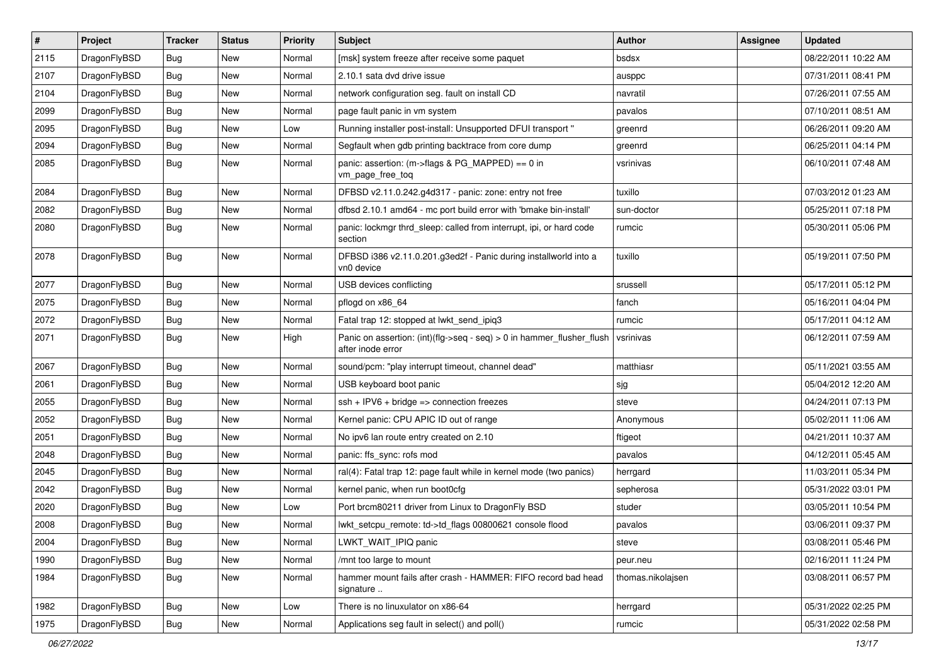| $\sharp$ | Project      | <b>Tracker</b> | <b>Status</b> | <b>Priority</b> | Subject                                                                                    | Author            | Assignee | <b>Updated</b>      |
|----------|--------------|----------------|---------------|-----------------|--------------------------------------------------------------------------------------------|-------------------|----------|---------------------|
| 2115     | DragonFlyBSD | <b>Bug</b>     | New           | Normal          | [msk] system freeze after receive some paquet                                              | bsdsx             |          | 08/22/2011 10:22 AM |
| 2107     | DragonFlyBSD | Bug            | <b>New</b>    | Normal          | 2.10.1 sata dvd drive issue                                                                | ausppc            |          | 07/31/2011 08:41 PM |
| 2104     | DragonFlyBSD | <b>Bug</b>     | New           | Normal          | network configuration seg. fault on install CD                                             | navratil          |          | 07/26/2011 07:55 AM |
| 2099     | DragonFlyBSD | <b>Bug</b>     | <b>New</b>    | Normal          | page fault panic in vm system                                                              | pavalos           |          | 07/10/2011 08:51 AM |
| 2095     | DragonFlyBSD | <b>Bug</b>     | New           | Low             | Running installer post-install: Unsupported DFUI transport "                               | greenrd           |          | 06/26/2011 09:20 AM |
| 2094     | DragonFlyBSD | <b>Bug</b>     | <b>New</b>    | Normal          | Segfault when gdb printing backtrace from core dump                                        | greenrd           |          | 06/25/2011 04:14 PM |
| 2085     | DragonFlyBSD | <b>Bug</b>     | New           | Normal          | panic: assertion: (m->flags & PG_MAPPED) == 0 in<br>vm_page_free_toq                       | vsrinivas         |          | 06/10/2011 07:48 AM |
| 2084     | DragonFlyBSD | Bug            | New           | Normal          | DFBSD v2.11.0.242.g4d317 - panic: zone: entry not free                                     | tuxillo           |          | 07/03/2012 01:23 AM |
| 2082     | DragonFlyBSD | Bug            | <b>New</b>    | Normal          | dfbsd 2.10.1 amd64 - mc port build error with 'bmake bin-install'                          | sun-doctor        |          | 05/25/2011 07:18 PM |
| 2080     | DragonFlyBSD | <b>Bug</b>     | New           | Normal          | panic: lockmgr thrd sleep: called from interrupt, ipi, or hard code<br>section             | rumcic            |          | 05/30/2011 05:06 PM |
| 2078     | DragonFlyBSD | <b>Bug</b>     | New           | Normal          | DFBSD i386 v2.11.0.201.g3ed2f - Panic during installworld into a<br>vn0 device             | tuxillo           |          | 05/19/2011 07:50 PM |
| 2077     | DragonFlyBSD | Bug            | New           | Normal          | USB devices conflicting                                                                    | srussell          |          | 05/17/2011 05:12 PM |
| 2075     | DragonFlyBSD | <b>Bug</b>     | <b>New</b>    | Normal          | pflogd on x86 64                                                                           | fanch             |          | 05/16/2011 04:04 PM |
| 2072     | DragonFlyBSD | <b>Bug</b>     | New           | Normal          | Fatal trap 12: stopped at lwkt_send_ipiq3                                                  | rumcic            |          | 05/17/2011 04:12 AM |
| 2071     | DragonFlyBSD | Bug            | New           | High            | Panic on assertion: (int)(flg->seq - seq) > 0 in hammer flusher flush<br>after inode error | vsrinivas         |          | 06/12/2011 07:59 AM |
| 2067     | DragonFlyBSD | Bug            | New           | Normal          | sound/pcm: "play interrupt timeout, channel dead"                                          | matthiasr         |          | 05/11/2021 03:55 AM |
| 2061     | DragonFlyBSD | Bug            | <b>New</b>    | Normal          | USB keyboard boot panic                                                                    | sjg               |          | 05/04/2012 12:20 AM |
| 2055     | DragonFlyBSD | <b>Bug</b>     | <b>New</b>    | Normal          | $ssh + IPV6 + bridge \Rightarrow$ connection freezes                                       | steve             |          | 04/24/2011 07:13 PM |
| 2052     | DragonFlyBSD | <b>Bug</b>     | New           | Normal          | Kernel panic: CPU APIC ID out of range                                                     | Anonymous         |          | 05/02/2011 11:06 AM |
| 2051     | DragonFlyBSD | <b>Bug</b>     | <b>New</b>    | Normal          | No ipv6 lan route entry created on 2.10                                                    | ftigeot           |          | 04/21/2011 10:37 AM |
| 2048     | DragonFlyBSD | <b>Bug</b>     | New           | Normal          | panic: ffs_sync: rofs mod                                                                  | pavalos           |          | 04/12/2011 05:45 AM |
| 2045     | DragonFlyBSD | <b>Bug</b>     | New           | Normal          | ral(4): Fatal trap 12: page fault while in kernel mode (two panics)                        | herrgard          |          | 11/03/2011 05:34 PM |
| 2042     | DragonFlyBSD | <b>Bug</b>     | New           | Normal          | kernel panic, when run boot0cfg                                                            | sepherosa         |          | 05/31/2022 03:01 PM |
| 2020     | DragonFlyBSD | <b>Bug</b>     | <b>New</b>    | Low             | Port brcm80211 driver from Linux to DragonFly BSD                                          | studer            |          | 03/05/2011 10:54 PM |
| 2008     | DragonFlyBSD | <b>Bug</b>     | New           | Normal          | lwkt setcpu remote: td->td flags 00800621 console flood                                    | pavalos           |          | 03/06/2011 09:37 PM |
| 2004     | DragonFlyBSD | <b>Bug</b>     | New           | Normal          | LWKT_WAIT_IPIQ panic                                                                       | steve             |          | 03/08/2011 05:46 PM |
| 1990     | DragonFlyBSD | <b>Bug</b>     | <b>New</b>    | Normal          | /mnt too large to mount                                                                    | peur.neu          |          | 02/16/2011 11:24 PM |
| 1984     | DragonFlyBSD | <b>Bug</b>     | New           | Normal          | hammer mount fails after crash - HAMMER: FIFO record bad head<br>signature                 | thomas.nikolajsen |          | 03/08/2011 06:57 PM |
| 1982     | DragonFlyBSD | <b>Bug</b>     | <b>New</b>    | Low             | There is no linuxulator on x86-64                                                          | herrgard          |          | 05/31/2022 02:25 PM |
| 1975     | DragonFlyBSD | Bug            | New           | Normal          | Applications seg fault in select() and poll()                                              | rumcic            |          | 05/31/2022 02:58 PM |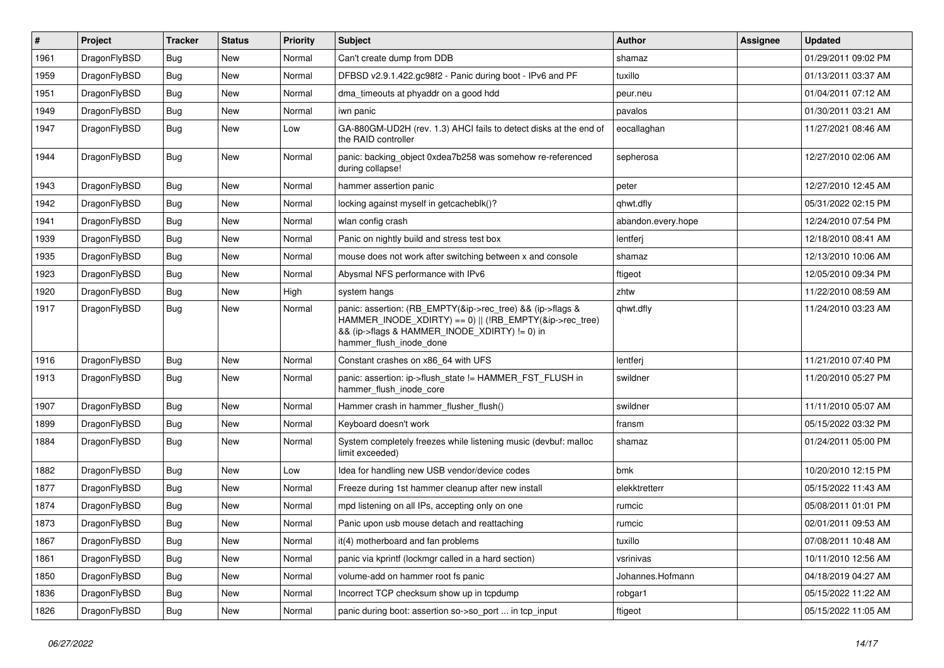| #    | Project      | <b>Tracker</b> | <b>Status</b> | <b>Priority</b> | <b>Subject</b>                                                                                                                                                                                    | <b>Author</b>      | Assignee | <b>Updated</b>      |
|------|--------------|----------------|---------------|-----------------|---------------------------------------------------------------------------------------------------------------------------------------------------------------------------------------------------|--------------------|----------|---------------------|
| 1961 | DragonFlyBSD | <b>Bug</b>     | <b>New</b>    | Normal          | Can't create dump from DDB                                                                                                                                                                        | shamaz             |          | 01/29/2011 09:02 PM |
| 1959 | DragonFlyBSD | <b>Bug</b>     | <b>New</b>    | Normal          | DFBSD v2.9.1.422.gc98f2 - Panic during boot - IPv6 and PF                                                                                                                                         | tuxillo            |          | 01/13/2011 03:37 AM |
| 1951 | DragonFlyBSD | <b>Bug</b>     | New           | Normal          | dma timeouts at phyaddr on a good hdd                                                                                                                                                             | peur.neu           |          | 01/04/2011 07:12 AM |
| 1949 | DragonFlyBSD | Bug            | New           | Normal          | iwn panic                                                                                                                                                                                         | pavalos            |          | 01/30/2011 03:21 AM |
| 1947 | DragonFlyBSD | <b>Bug</b>     | New           | Low             | GA-880GM-UD2H (rev. 1.3) AHCI fails to detect disks at the end of<br>the RAID controller                                                                                                          | eocallaghan        |          | 11/27/2021 08:46 AM |
| 1944 | DragonFlyBSD | <b>Bug</b>     | New           | Normal          | panic: backing_object 0xdea7b258 was somehow re-referenced<br>during collapse!                                                                                                                    | sepherosa          |          | 12/27/2010 02:06 AM |
| 1943 | DragonFlyBSD | <b>Bug</b>     | <b>New</b>    | Normal          | hammer assertion panic                                                                                                                                                                            | peter              |          | 12/27/2010 12:45 AM |
| 1942 | DragonFlyBSD | <b>Bug</b>     | New           | Normal          | locking against myself in getcacheblk()?                                                                                                                                                          | qhwt.dfly          |          | 05/31/2022 02:15 PM |
| 1941 | DragonFlyBSD | <b>Bug</b>     | New           | Normal          | wlan config crash                                                                                                                                                                                 | abandon.every.hope |          | 12/24/2010 07:54 PM |
| 1939 | DragonFlyBSD | <b>Bug</b>     | New           | Normal          | Panic on nightly build and stress test box                                                                                                                                                        | lentferj           |          | 12/18/2010 08:41 AM |
| 1935 | DragonFlyBSD | Bug            | New           | Normal          | mouse does not work after switching between x and console                                                                                                                                         | shamaz             |          | 12/13/2010 10:06 AM |
| 1923 | DragonFlyBSD | <b>Bug</b>     | New           | Normal          | Abysmal NFS performance with IPv6                                                                                                                                                                 | ftigeot            |          | 12/05/2010 09:34 PM |
| 1920 | DragonFlyBSD | <b>Bug</b>     | New           | High            | system hangs                                                                                                                                                                                      | zhtw               |          | 11/22/2010 08:59 AM |
| 1917 | DragonFlyBSD | <b>Bug</b>     | New           | Normal          | panic: assertion: (RB_EMPTY(&ip->rec_tree) && (ip->flags &<br>HAMMER_INODE_XDIRTY) == 0)    (!RB_EMPTY(&ip->rec_tree)<br>&& (ip->flags & HAMMER_INODE_XDIRTY) != 0) in<br>hammer_flush_inode_done | qhwt.dfly          |          | 11/24/2010 03:23 AM |
| 1916 | DragonFlyBSD | <b>Bug</b>     | <b>New</b>    | Normal          | Constant crashes on x86 64 with UFS                                                                                                                                                               | lentferj           |          | 11/21/2010 07:40 PM |
| 1913 | DragonFlyBSD | <b>Bug</b>     | New           | Normal          | panic: assertion: ip->flush_state != HAMMER_FST_FLUSH in<br>hammer_flush_inode_core                                                                                                               | swildner           |          | 11/20/2010 05:27 PM |
| 1907 | DragonFlyBSD | <b>Bug</b>     | <b>New</b>    | Normal          | Hammer crash in hammer flusher flush()                                                                                                                                                            | swildner           |          | 11/11/2010 05:07 AM |
| 1899 | DragonFlyBSD | <b>Bug</b>     | New           | Normal          | Keyboard doesn't work                                                                                                                                                                             | fransm             |          | 05/15/2022 03:32 PM |
| 1884 | DragonFlyBSD | <b>Bug</b>     | New           | Normal          | System completely freezes while listening music (devbuf: malloc<br>limit exceeded)                                                                                                                | shamaz             |          | 01/24/2011 05:00 PM |
| 1882 | DragonFlyBSD | <b>Bug</b>     | <b>New</b>    | Low             | Idea for handling new USB vendor/device codes                                                                                                                                                     | bmk                |          | 10/20/2010 12:15 PM |
| 1877 | DragonFlyBSD | Bug            | New           | Normal          | Freeze during 1st hammer cleanup after new install                                                                                                                                                | elekktretterr      |          | 05/15/2022 11:43 AM |
| 1874 | DragonFlyBSD | <b>Bug</b>     | New           | Normal          | mpd listening on all IPs, accepting only on one                                                                                                                                                   | rumcic             |          | 05/08/2011 01:01 PM |
| 1873 | DragonFlyBSD | <b>Bug</b>     | New           | Normal          | Panic upon usb mouse detach and reattaching                                                                                                                                                       | rumcic             |          | 02/01/2011 09:53 AM |
| 1867 | DragonFlyBSD | <b>Bug</b>     | New           | Normal          | it(4) motherboard and fan problems                                                                                                                                                                | tuxillo            |          | 07/08/2011 10:48 AM |
| 1861 | DragonFlyBSD | Bug            | New           | Normal          | panic via kprintf (lockmgr called in a hard section)                                                                                                                                              | vsrinivas          |          | 10/11/2010 12:56 AM |
| 1850 | DragonFlyBSD | <b>Bug</b>     | New           | Normal          | volume-add on hammer root fs panic                                                                                                                                                                | Johannes.Hofmann   |          | 04/18/2019 04:27 AM |
| 1836 | DragonFlyBSD | <b>Bug</b>     | New           | Normal          | Incorrect TCP checksum show up in tcpdump                                                                                                                                                         | robgar1            |          | 05/15/2022 11:22 AM |
| 1826 | DragonFlyBSD | <b>Bug</b>     | New           | Normal          | panic during boot: assertion so->so_port  in tcp_input                                                                                                                                            | ftigeot            |          | 05/15/2022 11:05 AM |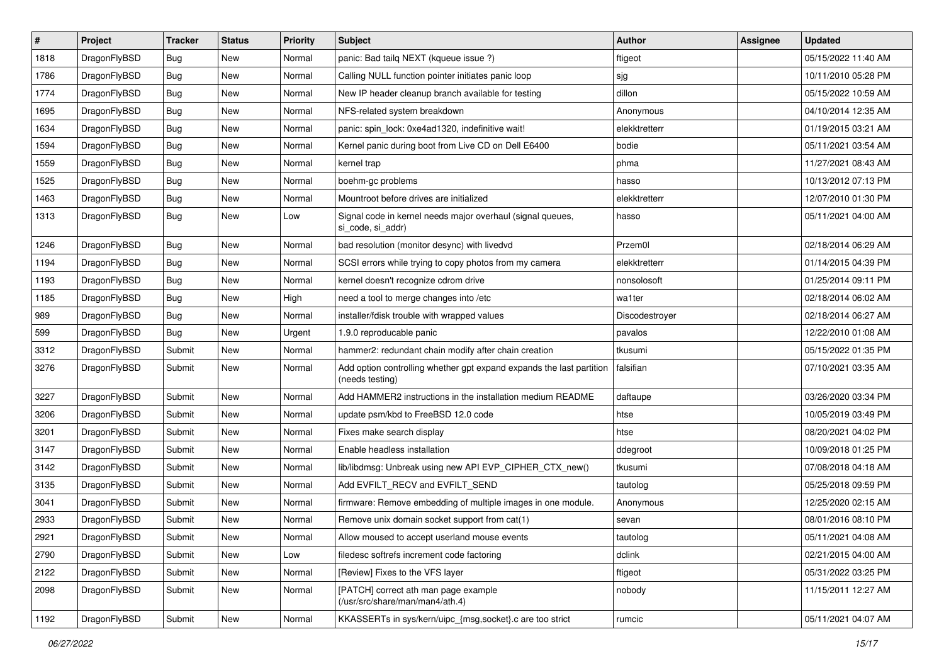| $\sharp$ | Project      | <b>Tracker</b> | <b>Status</b> | <b>Priority</b> | Subject                                                                                 | <b>Author</b>  | Assignee | <b>Updated</b>      |
|----------|--------------|----------------|---------------|-----------------|-----------------------------------------------------------------------------------------|----------------|----------|---------------------|
| 1818     | DragonFlyBSD | <b>Bug</b>     | New           | Normal          | panic: Bad tailq NEXT (kqueue issue ?)                                                  | ftigeot        |          | 05/15/2022 11:40 AM |
| 1786     | DragonFlyBSD | <b>Bug</b>     | New           | Normal          | Calling NULL function pointer initiates panic loop                                      | sjg            |          | 10/11/2010 05:28 PM |
| 1774     | DragonFlyBSD | <b>Bug</b>     | New           | Normal          | New IP header cleanup branch available for testing                                      | dillon         |          | 05/15/2022 10:59 AM |
| 1695     | DragonFlyBSD | <b>Bug</b>     | <b>New</b>    | Normal          | NFS-related system breakdown                                                            | Anonymous      |          | 04/10/2014 12:35 AM |
| 1634     | DragonFlyBSD | <b>Bug</b>     | <b>New</b>    | Normal          | panic: spin_lock: 0xe4ad1320, indefinitive wait!                                        | elekktretterr  |          | 01/19/2015 03:21 AM |
| 1594     | DragonFlyBSD | <b>Bug</b>     | <b>New</b>    | Normal          | Kernel panic during boot from Live CD on Dell E6400                                     | bodie          |          | 05/11/2021 03:54 AM |
| 1559     | DragonFlyBSD | <b>Bug</b>     | New           | Normal          | kernel trap                                                                             | phma           |          | 11/27/2021 08:43 AM |
| 1525     | DragonFlyBSD | <b>Bug</b>     | <b>New</b>    | Normal          | boehm-gc problems                                                                       | hasso          |          | 10/13/2012 07:13 PM |
| 1463     | DragonFlyBSD | <b>Bug</b>     | New           | Normal          | Mountroot before drives are initialized                                                 | elekktretterr  |          | 12/07/2010 01:30 PM |
| 1313     | DragonFlyBSD | <b>Bug</b>     | New           | Low             | Signal code in kernel needs major overhaul (signal queues,<br>si code, si addr)         | hasso          |          | 05/11/2021 04:00 AM |
| 1246     | DragonFlyBSD | Bug            | <b>New</b>    | Normal          | bad resolution (monitor desync) with livedvd                                            | Przem0l        |          | 02/18/2014 06:29 AM |
| 1194     | DragonFlyBSD | <b>Bug</b>     | <b>New</b>    | Normal          | SCSI errors while trying to copy photos from my camera                                  | elekktretterr  |          | 01/14/2015 04:39 PM |
| 1193     | DragonFlyBSD | Bug            | <b>New</b>    | Normal          | kernel doesn't recognize cdrom drive                                                    | nonsolosoft    |          | 01/25/2014 09:11 PM |
| 1185     | DragonFlyBSD | Bug            | New           | High            | need a tool to merge changes into /etc                                                  | wa1ter         |          | 02/18/2014 06:02 AM |
| 989      | DragonFlyBSD | <b>Bug</b>     | <b>New</b>    | Normal          | installer/fdisk trouble with wrapped values                                             | Discodestroyer |          | 02/18/2014 06:27 AM |
| 599      | DragonFlyBSD | Bug            | New           | Urgent          | 1.9.0 reproducable panic                                                                | pavalos        |          | 12/22/2010 01:08 AM |
| 3312     | DragonFlyBSD | Submit         | New           | Normal          | hammer2: redundant chain modify after chain creation                                    | tkusumi        |          | 05/15/2022 01:35 PM |
| 3276     | DragonFlyBSD | Submit         | <b>New</b>    | Normal          | Add option controlling whether gpt expand expands the last partition<br>(needs testing) | falsifian      |          | 07/10/2021 03:35 AM |
| 3227     | DragonFlyBSD | Submit         | <b>New</b>    | Normal          | Add HAMMER2 instructions in the installation medium README                              | daftaupe       |          | 03/26/2020 03:34 PM |
| 3206     | DragonFlyBSD | Submit         | <b>New</b>    | Normal          | update psm/kbd to FreeBSD 12.0 code                                                     | htse           |          | 10/05/2019 03:49 PM |
| 3201     | DragonFlyBSD | Submit         | New           | Normal          | Fixes make search display                                                               | htse           |          | 08/20/2021 04:02 PM |
| 3147     | DragonFlyBSD | Submit         | New           | Normal          | Enable headless installation                                                            | ddegroot       |          | 10/09/2018 01:25 PM |
| 3142     | DragonFlyBSD | Submit         | New           | Normal          | lib/libdmsg: Unbreak using new API EVP_CIPHER_CTX_new()                                 | tkusumi        |          | 07/08/2018 04:18 AM |
| 3135     | DragonFlyBSD | Submit         | New           | Normal          | Add EVFILT_RECV and EVFILT_SEND                                                         | tautolog       |          | 05/25/2018 09:59 PM |
| 3041     | DragonFlyBSD | Submit         | <b>New</b>    | Normal          | firmware: Remove embedding of multiple images in one module.                            | Anonymous      |          | 12/25/2020 02:15 AM |
| 2933     | DragonFlyBSD | Submit         | New           | Normal          | Remove unix domain socket support from cat(1)                                           | sevan          |          | 08/01/2016 08:10 PM |
| 2921     | DragonFlyBSD | Submit         | New           | Normal          | Allow moused to accept userland mouse events                                            | tautolog       |          | 05/11/2021 04:08 AM |
| 2790     | DragonFlyBSD | Submit         | <b>New</b>    | Low             | filedesc softrefs increment code factoring                                              | dclink         |          | 02/21/2015 04:00 AM |
| 2122     | DragonFlyBSD | Submit         | <b>New</b>    | Normal          | [Review] Fixes to the VFS layer                                                         | ftigeot        |          | 05/31/2022 03:25 PM |
| 2098     | DragonFlyBSD | Submit         | New           | Normal          | [PATCH] correct ath man page example<br>(/usr/src/share/man/man4/ath.4)                 | nobody         |          | 11/15/2011 12:27 AM |
| 1192     | DragonFlyBSD | Submit         | New           | Normal          | KKASSERTs in sys/kern/uipc_{msg,socket}.c are too strict                                | rumcic         |          | 05/11/2021 04:07 AM |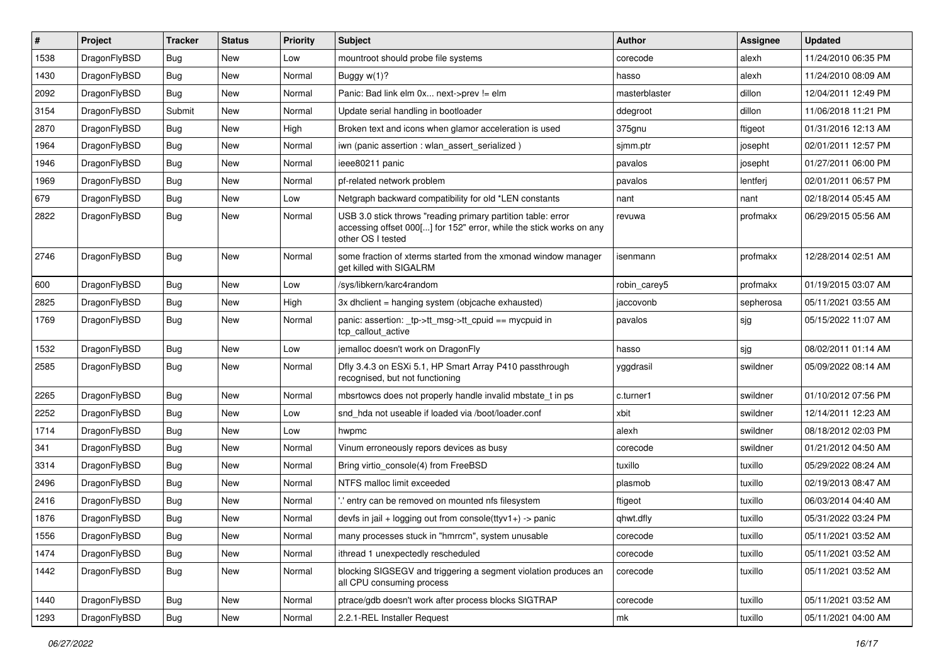| ∦    | Project      | <b>Tracker</b> | <b>Status</b> | <b>Priority</b> | <b>Subject</b>                                                                                                                                           | Author        | <b>Assignee</b> | <b>Updated</b>      |
|------|--------------|----------------|---------------|-----------------|----------------------------------------------------------------------------------------------------------------------------------------------------------|---------------|-----------------|---------------------|
| 1538 | DragonFlyBSD | Bug            | <b>New</b>    | Low             | mountroot should probe file systems                                                                                                                      | corecode      | alexh           | 11/24/2010 06:35 PM |
| 1430 | DragonFlyBSD | <b>Bug</b>     | <b>New</b>    | Normal          | Buggy $w(1)$ ?                                                                                                                                           | hasso         | alexh           | 11/24/2010 08:09 AM |
| 2092 | DragonFlyBSD | <b>Bug</b>     | <b>New</b>    | Normal          | Panic: Bad link elm 0x next->prev != elm                                                                                                                 | masterblaster | dillon          | 12/04/2011 12:49 PM |
| 3154 | DragonFlyBSD | Submit         | New           | Normal          | Update serial handling in bootloader                                                                                                                     | ddegroot      | dillon          | 11/06/2018 11:21 PM |
| 2870 | DragonFlyBSD | <b>Bug</b>     | <b>New</b>    | High            | Broken text and icons when glamor acceleration is used                                                                                                   | 375gnu        | ftigeot         | 01/31/2016 12:13 AM |
| 1964 | DragonFlyBSD | <b>Bug</b>     | New           | Normal          | iwn (panic assertion : wlan assert serialized)                                                                                                           | sjmm.ptr      | josepht         | 02/01/2011 12:57 PM |
| 1946 | DragonFlyBSD | <b>Bug</b>     | <b>New</b>    | Normal          | ieee80211 panic                                                                                                                                          | pavalos       | josepht         | 01/27/2011 06:00 PM |
| 1969 | DragonFlyBSD | <b>Bug</b>     | <b>New</b>    | Normal          | pf-related network problem                                                                                                                               | pavalos       | lentferj        | 02/01/2011 06:57 PM |
| 679  | DragonFlyBSD | Bug            | <b>New</b>    | Low             | Netgraph backward compatibility for old *LEN constants                                                                                                   | nant          | nant            | 02/18/2014 05:45 AM |
| 2822 | DragonFlyBSD | Bug            | <b>New</b>    | Normal          | USB 3.0 stick throws "reading primary partition table: error<br>accessing offset 000[] for 152" error, while the stick works on any<br>other OS I tested | revuwa        | profmakx        | 06/29/2015 05:56 AM |
| 2746 | DragonFlyBSD | Bug            | <b>New</b>    | Normal          | some fraction of xterms started from the xmonad window manager<br>get killed with SIGALRM                                                                | isenmann      | profmakx        | 12/28/2014 02:51 AM |
| 600  | DragonFlyBSD | Bug            | <b>New</b>    | Low             | /sys/libkern/karc4random                                                                                                                                 | robin_carey5  | profmakx        | 01/19/2015 03:07 AM |
| 2825 | DragonFlyBSD | <b>Bug</b>     | New           | High            | $3x$ dhclient = hanging system (objcache exhausted)                                                                                                      | jaccovonb     | sepherosa       | 05/11/2021 03:55 AM |
| 1769 | DragonFlyBSD | Bug            | <b>New</b>    | Normal          | panic: assertion: _tp->tt_msg->tt_cpuid == mycpuid in<br>tcp callout active                                                                              | pavalos       | sjg             | 05/15/2022 11:07 AM |
| 1532 | DragonFlyBSD | Bug            | <b>New</b>    | Low             | jemalloc doesn't work on DragonFly                                                                                                                       | hasso         | sjg             | 08/02/2011 01:14 AM |
| 2585 | DragonFlyBSD | Bug            | <b>New</b>    | Normal          | Dfly 3.4.3 on ESXi 5.1, HP Smart Array P410 passthrough<br>recognised, but not functioning                                                               | yggdrasil     | swildner        | 05/09/2022 08:14 AM |
| 2265 | DragonFlyBSD | <b>Bug</b>     | <b>New</b>    | Normal          | mbsrtowcs does not properly handle invalid mbstate t in ps                                                                                               | c.turner1     | swildner        | 01/10/2012 07:56 PM |
| 2252 | DragonFlyBSD | Bug            | <b>New</b>    | Low             | snd hda not useable if loaded via /boot/loader.conf                                                                                                      | xbit          | swildner        | 12/14/2011 12:23 AM |
| 1714 | DragonFlyBSD | Bug            | <b>New</b>    | Low             | hwpmc                                                                                                                                                    | alexh         | swildner        | 08/18/2012 02:03 PM |
| 341  | DragonFlyBSD | <b>Bug</b>     | <b>New</b>    | Normal          | Vinum erroneously repors devices as busy                                                                                                                 | corecode      | swildner        | 01/21/2012 04:50 AM |
| 3314 | DragonFlyBSD | <b>Bug</b>     | <b>New</b>    | Normal          | Bring virtio_console(4) from FreeBSD                                                                                                                     | tuxillo       | tuxillo         | 05/29/2022 08:24 AM |
| 2496 | DragonFlyBSD | Bug            | <b>New</b>    | Normal          | NTFS malloc limit exceeded                                                                                                                               | plasmob       | tuxillo         | 02/19/2013 08:47 AM |
| 2416 | DragonFlyBSD | Bug            | <b>New</b>    | Normal          | ".' entry can be removed on mounted nfs filesystem                                                                                                       | ftigeot       | tuxillo         | 06/03/2014 04:40 AM |
| 1876 | DragonFlyBSD | <b>Bug</b>     | <b>New</b>    | Normal          | devfs in jail + logging out from console(ttyv1+) -> panic                                                                                                | qhwt.dfly     | tuxillo         | 05/31/2022 03:24 PM |
| 1556 | DragonFlyBSD | Bug            | New           | Normal          | many processes stuck in "hmrrcm", system unusable                                                                                                        | corecode      | tuxillo         | 05/11/2021 03:52 AM |
| 1474 | DragonFlyBSD | Bug            | New           | Normal          | ithread 1 unexpectedly rescheduled                                                                                                                       | corecode      | tuxillo         | 05/11/2021 03:52 AM |
| 1442 | DragonFlyBSD | <b>Bug</b>     | New           | Normal          | blocking SIGSEGV and triggering a segment violation produces an<br>all CPU consuming process                                                             | corecode      | tuxillo         | 05/11/2021 03:52 AM |
| 1440 | DragonFlyBSD | <b>Bug</b>     | New           | Normal          | ptrace/gdb doesn't work after process blocks SIGTRAP                                                                                                     | corecode      | tuxillo         | 05/11/2021 03:52 AM |
| 1293 | DragonFlyBSD | Bug            | New           | Normal          | 2.2.1-REL Installer Request                                                                                                                              | mk            | tuxillo         | 05/11/2021 04:00 AM |